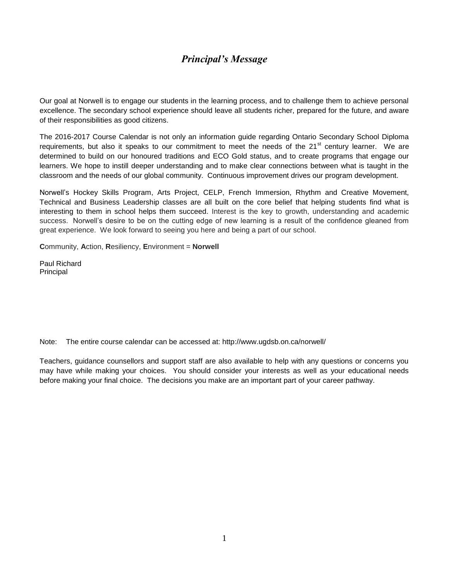## *Principal's Message*

Our goal at Norwell is to engage our students in the learning process, and to challenge them to achieve personal excellence. The secondary school experience should leave all students richer, prepared for the future, and aware of their responsibilities as good citizens.

The 2016-2017 Course Calendar is not only an information guide regarding Ontario Secondary School Diploma requirements, but also it speaks to our commitment to meet the needs of the 21<sup>st</sup> century learner. We are determined to build on our honoured traditions and ECO Gold status, and to create programs that engage our learners. We hope to instill deeper understanding and to make clear connections between what is taught in the classroom and the needs of our global community. Continuous improvement drives our program development.

Norwell's Hockey Skills Program, Arts Project, CELP, French Immersion, Rhythm and Creative Movement, Technical and Business Leadership classes are all built on the core belief that helping students find what is interesting to them in school helps them succeed. Interest is the key to growth, understanding and academic success. Norwell's desire to be on the cutting edge of new learning is a result of the confidence gleaned from great experience. We look forward to seeing you here and being a part of our school.

**C**ommunity, **A**ction, **R**esiliency, **E**nvironment = **Norwell**

Paul Richard Principal

Note: The entire course calendar can be accessed at: http://www.ugdsb.on.ca/norwell/

Teachers, guidance counsellors and support staff are also available to help with any questions or concerns you may have while making your choices. You should consider your interests as well as your educational needs before making your final choice. The decisions you make are an important part of your career pathway.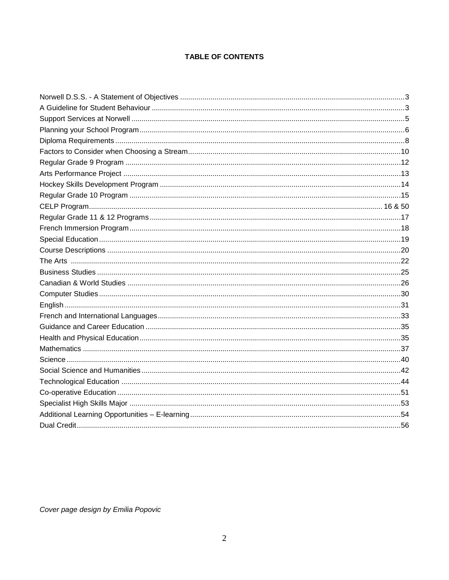### TABLE OF CONTENTS

Cover page design by Emilia Popovic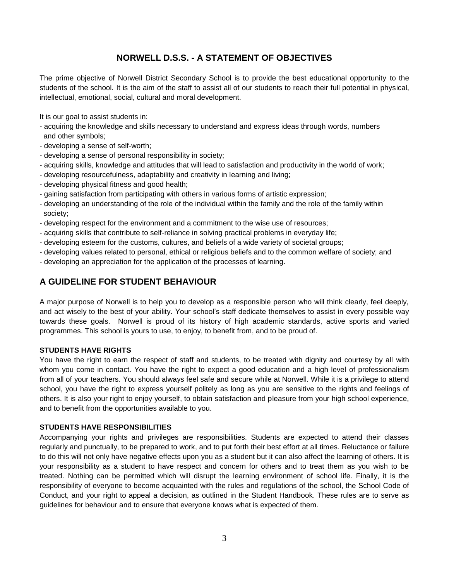### **NORWELL D.S.S. - A STATEMENT OF OBJECTIVES**

The prime objective of Norwell District Secondary School is to provide the best educational opportunity to the students of the school. It is the aim of the staff to assist all of our students to reach their full potential in physical, intellectual, emotional, social, cultural and moral development.

It is our goal to assist students in:

- acquiring the knowledge and skills necessary to understand and express ideas through words, numbers and other symbols;
- developing a sense of self-worth;
- developing a sense of personal responsibility in society;
- acquiring skills, knowledge and attitudes that will lead to satisfaction and productivity in the world of work;
- developing resourcefulness, adaptability and creativity in learning and living;
- developing physical fitness and good health;
- gaining satisfaction from participating with others in various forms of artistic expression;
- developing an understanding of the role of the individual within the family and the role of the family within society;
- developing respect for the environment and a commitment to the wise use of resources;
- acquiring skills that contribute to self-reliance in solving practical problems in everyday life;
- developing esteem for the customs, cultures, and beliefs of a wide variety of societal groups;
- developing values related to personal, ethical or religious beliefs and to the common welfare of society; and
- developing an appreciation for the application of the processes of learning.

### **A GUIDELINE FOR STUDENT BEHAVIOUR**

A major purpose of Norwell is to help you to develop as a responsible person who will think clearly, feel deeply, and act wisely to the best of your ability. Your school's staff dedicate themselves to assist in every possible way towards these goals. Norwell is proud of its history of high academic standards, active sports and varied programmes. This school is yours to use, to enjoy, to benefit from, and to be proud of.

#### **STUDENTS HAVE RIGHTS**

You have the right to earn the respect of staff and students, to be treated with dignity and courtesy by all with whom you come in contact. You have the right to expect a good education and a high level of professionalism from all of your teachers. You should always feel safe and secure while at Norwell. While it is a privilege to attend school, you have the right to express yourself politely as long as you are sensitive to the rights and feelings of others. It is also your right to enjoy yourself, to obtain satisfaction and pleasure from your high school experience, and to benefit from the opportunities available to you.

#### **STUDENTS HAVE RESPONSIBILITIES**

Accompanying your rights and privileges are responsibilities. Students are expected to attend their classes regularly and punctually, to be prepared to work, and to put forth their best effort at all times. Reluctance or failure to do this will not only have negative effects upon you as a student but it can also affect the learning of others. It is your responsibility as a student to have respect and concern for others and to treat them as you wish to be treated. Nothing can be permitted which will disrupt the learning environment of school life. Finally, it is the responsibility of everyone to become acquainted with the rules and regulations of the school, the School Code of Conduct, and your right to appeal a decision, as outlined in the Student Handbook. These rules are to serve as guidelines for behaviour and to ensure that everyone knows what is expected of them.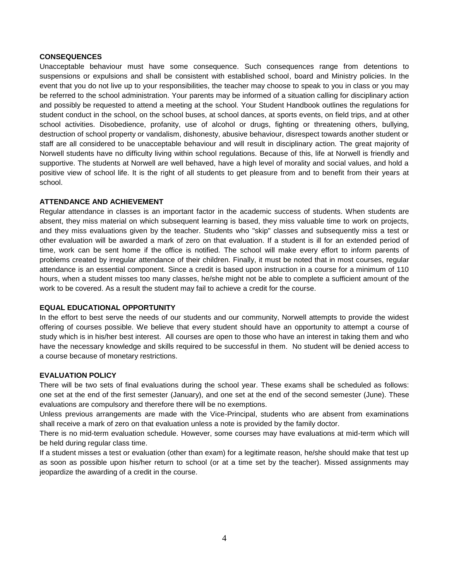#### **CONSEQUENCES**

Unacceptable behaviour must have some consequence. Such consequences range from detentions to suspensions or expulsions and shall be consistent with established school, board and Ministry policies. In the event that you do not live up to your responsibilities, the teacher may choose to speak to you in class or you may be referred to the school administration. Your parents may be informed of a situation calling for disciplinary action and possibly be requested to attend a meeting at the school. Your Student Handbook outlines the regulations for student conduct in the school, on the school buses, at school dances, at sports events, on field trips, and at other school activities. Disobedience, profanity, use of alcohol or drugs, fighting or threatening others, bullying, destruction of school property or vandalism, dishonesty, abusive behaviour, disrespect towards another student or staff are all considered to be unacceptable behaviour and will result in disciplinary action. The great majority of Norwell students have no difficulty living within school regulations. Because of this, life at Norwell is friendly and supportive. The students at Norwell are well behaved, have a high level of morality and social values, and hold a positive view of school life. It is the right of all students to get pleasure from and to benefit from their years at school.

#### **ATTENDANCE AND ACHIEVEMENT**

Regular attendance in classes is an important factor in the academic success of students. When students are absent, they miss material on which subsequent learning is based, they miss valuable time to work on projects, and they miss evaluations given by the teacher. Students who "skip" classes and subsequently miss a test or other evaluation will be awarded a mark of zero on that evaluation. If a student is ill for an extended period of time, work can be sent home if the office is notified. The school will make every effort to inform parents of problems created by irregular attendance of their children. Finally, it must be noted that in most courses, regular attendance is an essential component. Since a credit is based upon instruction in a course for a minimum of 110 hours, when a student misses too many classes, he/she might not be able to complete a sufficient amount of the work to be covered. As a result the student may fail to achieve a credit for the course.

#### **EQUAL EDUCATIONAL OPPORTUNITY**

In the effort to best serve the needs of our students and our community, Norwell attempts to provide the widest offering of courses possible. We believe that every student should have an opportunity to attempt a course of study which is in his/her best interest. All courses are open to those who have an interest in taking them and who have the necessary knowledge and skills required to be successful in them. No student will be denied access to a course because of monetary restrictions.

#### **EVALUATION POLICY**

There will be two sets of final evaluations during the school year. These exams shall be scheduled as follows: one set at the end of the first semester (January), and one set at the end of the second semester (June). These evaluations are compulsory and therefore there will be no exemptions.

Unless previous arrangements are made with the Vice-Principal, students who are absent from examinations shall receive a mark of zero on that evaluation unless a note is provided by the family doctor.

There is no mid-term evaluation schedule. However, some courses may have evaluations at mid-term which will be held during regular class time.

If a student misses a test or evaluation (other than exam) for a legitimate reason, he/she should make that test up as soon as possible upon his/her return to school (or at a time set by the teacher). Missed assignments may jeopardize the awarding of a credit in the course.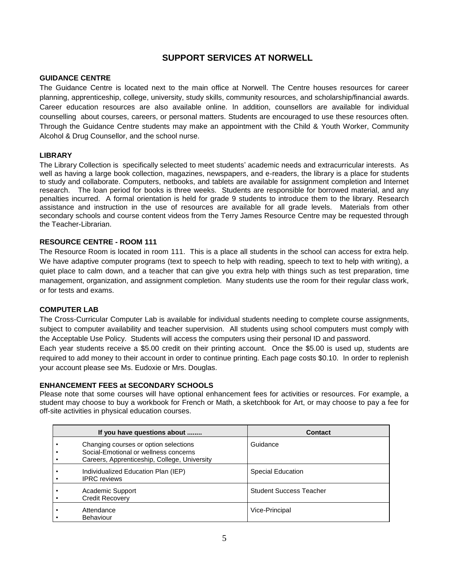### **SUPPORT SERVICES AT NORWELL**

### **GUIDANCE CENTRE**

The Guidance Centre is located next to the main office at Norwell. The Centre houses resources for career planning, apprenticeship, college, university, study skills, community resources, and scholarship/financial awards. Career education resources are also available online. In addition, counsellors are available for individual counselling about courses, careers, or personal matters. Students are encouraged to use these resources often. Through the Guidance Centre students may make an appointment with the Child & Youth Worker, Community Alcohol & Drug Counsellor, and the school nurse.

### **LIBRARY**

The Library Collection is specifically selected to meet students' academic needs and extracurricular interests. As well as having a large book collection, magazines, newspapers, and e-readers, the library is a place for students to study and collaborate. Computers, netbooks, and tablets are available for assignment completion and Internet research. The loan period for books is three weeks. Students are responsible for borrowed material, and any penalties incurred. A formal orientation is held for grade 9 students to introduce them to the library. Research assistance and instruction in the use of resources are available for all grade levels. Materials from other secondary schools and course content videos from the Terry James Resource Centre may be requested through the Teacher-Librarian.

### **RESOURCE CENTRE - ROOM 111**

The Resource Room is located in room 111. This is a place all students in the school can access for extra help. We have adaptive computer programs (text to speech to help with reading, speech to text to help with writing), a quiet place to calm down, and a teacher that can give you extra help with things such as test preparation, time management, organization, and assignment completion. Many students use the room for their regular class work, or for tests and exams.

#### **COMPUTER LAB**

The Cross-Curricular Computer Lab is available for individual students needing to complete course assignments, subject to computer availability and teacher supervision. All students using school computers must comply with the Acceptable Use Policy. Students will access the computers using their personal ID and password.

Each year students receive a \$5.00 credit on their printing account. Once the \$5.00 is used up, students are required to add money to their account in order to continue printing. Each page costs \$0.10. In order to replenish your account please see Ms. Eudoxie or Mrs. Douglas.

#### **ENHANCEMENT FEES at SECONDARY SCHOOLS**

Please note that some courses will have optional enhancement fees for activities or resources. For example, a student may choose to buy a workbook for French or Math, a sketchbook for Art, or may choose to pay a fee for off-site activities in physical education courses.

| If you have questions about                                                                                                    | <b>Contact</b>                 |
|--------------------------------------------------------------------------------------------------------------------------------|--------------------------------|
| Changing courses or option selections<br>Social-Emotional or wellness concerns<br>Careers, Apprenticeship, College, University | Guidance                       |
| Individualized Education Plan (IEP)<br><b>IPRC</b> reviews                                                                     | <b>Special Education</b>       |
| Academic Support<br><b>Credit Recovery</b>                                                                                     | <b>Student Success Teacher</b> |
| Attendance<br><b>Behaviour</b>                                                                                                 | Vice-Principal                 |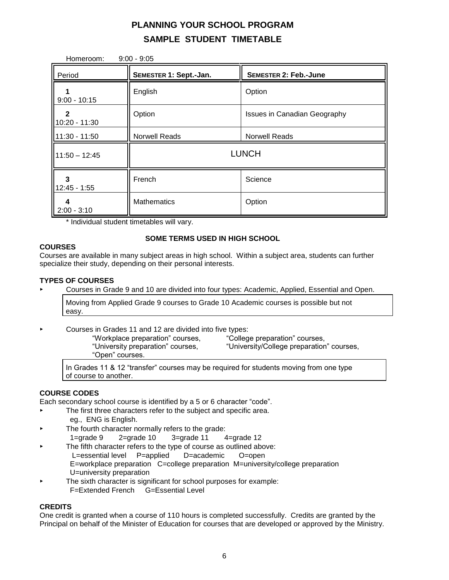# **PLANNING YOUR SCHOOL PROGRAM SAMPLE STUDENT TIMETABLE**

| $9:00 - 9:05$<br>Homeroom: |                        |                                     |  |
|----------------------------|------------------------|-------------------------------------|--|
| Period                     | SEMESTER 1: Sept.-Jan. | <b>SEMESTER 2: Feb.-June</b>        |  |
| $9:00 - 10:15$             | English                | Option                              |  |
| 2<br>10:20 - 11:30         | Option                 | <b>Issues in Canadian Geography</b> |  |
| $11:30 - 11:50$            | <b>Norwell Reads</b>   | <b>Norwell Reads</b>                |  |
| $11:50 - 12:45$            | <b>LUNCH</b>           |                                     |  |
| 3<br>$12:45 - 1:55$        | French                 | Science                             |  |
| 4<br>$2:00 - 3:10$         | <b>Mathematics</b>     | Option                              |  |

\* Individual student timetables will vary.

### **SOME TERMS USED IN HIGH SCHOOL**

### **COURSES**

Courses are available in many subject areas in high school. Within a subject area, students can further specialize their study, depending on their personal interests.

#### **TYPES OF COURSES**

▸ Courses in Grade 9 and 10 are divided into four types: Academic, Applied, Essential and Open.

Moving from Applied Grade 9 courses to Grade 10 Academic courses is possible but not easy.

- ▸ Courses in Grades 11 and 12 are divided into five types:
	- "Workplace preparation" courses, "College preparation" courses, "University preparation" courses, "University/College preparation" courses, "Open" courses.

In Grades 11 & 12 "transfer" courses may be required for students moving from one type of course to another.

### **COURSE CODES**

Each secondary school course is identified by a 5 or 6 character "code".

- ▸ The first three characters refer to the subject and specific area. eg., ENG is English.
- The fourth character normally refers to the grade: 1=grade  $9$   $2$ =grade 10  $3$ =grade 11  $4$ =grade 12
- The fifth character refers to the type of course as outlined above: L=essential level P=applied D=academic O=open E=workplace preparation C=college preparation M=university/college preparation U=university preparation
- The sixth character is significant for school purposes for example: F=Extended French G=Essential Level

### **CREDITS**

One credit is granted when a course of 110 hours is completed successfully. Credits are granted by the Principal on behalf of the Minister of Education for courses that are developed or approved by the Ministry.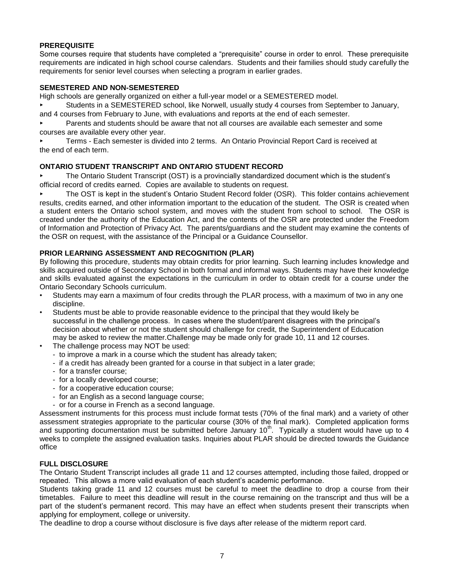### **PREREQUISITE**

Some courses require that students have completed a "prerequisite" course in order to enrol. These prerequisite requirements are indicated in high school course calendars. Students and their families should study carefully the requirements for senior level courses when selecting a program in earlier grades.

### **SEMESTERED AND NON-SEMESTERED**

High schools are generally organized on either a full-year model or a SEMESTERED model.

Students in a SEMESTERED school, like Norwell, usually study 4 courses from September to January, and 4 courses from February to June, with evaluations and reports at the end of each semester.

Parents and students should be aware that not all courses are available each semester and some courses are available every other year.

Terms - Each semester is divided into 2 terms. An Ontario Provincial Report Card is received at the end of each term.

### **ONTARIO STUDENT TRANSCRIPT AND ONTARIO STUDENT RECORD**

The Ontario Student Transcript (OST) is a provincially standardized document which is the student's official record of credits earned. Copies are available to students on request.

The OST is kept in the student's Ontario Student Record folder (OSR). This folder contains achievement results, credits earned, and other information important to the education of the student. The OSR is created when a student enters the Ontario school system, and moves with the student from school to school. The OSR is created under the authority of the Education Act, and the contents of the OSR are protected under the Freedom of Information and Protection of Privacy Act. The parents/guardians and the student may examine the contents of the OSR on request, with the assistance of the Principal or a Guidance Counsellor.

### **PRIOR LEARNING ASSESSMENT AND RECOGNITION (PLAR)**

By following this procedure, students may obtain credits for prior learning. Such learning includes knowledge and skills acquired outside of Secondary School in both formal and informal ways. Students may have their knowledge and skills evaluated against the expectations in the curriculum in order to obtain credit for a course under the Ontario Secondary Schools curriculum.

- Students may earn a maximum of four credits through the PLAR process, with a maximum of two in any one discipline.
- Students must be able to provide reasonable evidence to the principal that they would likely be successful in the challenge process. In cases where the student/parent disagrees with the principal's decision about whether or not the student should challenge for credit, the Superintendent of Education may be asked to review the matter.Challenge may be made only for grade 10, 11 and 12 courses.
- The challenge process may NOT be used:
	- to improve a mark in a course which the student has already taken;
	- if a credit has already been granted for a course in that subject in a later grade;
	- for a transfer course;
	- for a locally developed course;
	- for a cooperative education course;
	- for an English as a second language course;
	- or for a course in French as a second language.

Assessment instruments for this process must include format tests (70% of the final mark) and a variety of other assessment strategies appropriate to the particular course (30% of the final mark). Completed application forms and supporting documentation must be submitted before January 10<sup>th</sup>. Typically a student would have up to 4 weeks to complete the assigned evaluation tasks. Inquiries about PLAR should be directed towards the Guidance office

### **FULL DISCLOSURE**

The Ontario Student Transcript includes all grade 11 and 12 courses attempted, including those failed, dropped or repeated. This allows a more valid evaluation of each student's academic performance.

Students taking grade 11 and 12 courses must be careful to meet the deadline to drop a course from their timetables. Failure to meet this deadline will result in the course remaining on the transcript and thus will be a part of the student's permanent record. This may have an effect when students present their transcripts when applying for employment, college or university.

The deadline to drop a course without disclosure is five days after release of the midterm report card.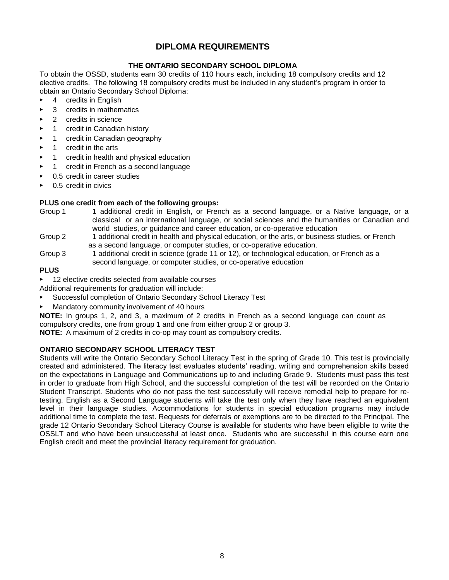### **DIPLOMA REQUIREMENTS**

### **THE ONTARIO SECONDARY SCHOOL DIPLOMA**

To obtain the OSSD, students earn 30 credits of 110 hours each, including 18 compulsory credits and 12 elective credits. The following 18 compulsory credits must be included in any student's program in order to obtain an Ontario Secondary School Diploma:

- $\triangleright$  4 credits in English
- 3 credits in mathematics
- 2 credits in science
- 1 credit in Canadian history
- 1 credit in Canadian geography
- 1 credit in the arts
- 1 credit in health and physical education
- 1 credit in French as a second language
- 0.5 credit in career studies
- 0.5 credit in civics

#### **PLUS one credit from each of the following groups:**

- Group 1 1 additional credit in English, or French as a second language, or a Native language, or a classical or an international language, or social sciences and the humanities or Canadian and world studies, or guidance and career education, or co-operative education
- Group 2 1 additional credit in health and physical education, or the arts, or business studies, or French as a second language, or computer studies, or co-operative education.
- Group 3 1 additional credit in science (grade 11 or 12), or technological education, or French as a second language, or computer studies, or co-operative education

### **PLUS**

12 elective credits selected from available courses

Additional requirements for graduation will include:

- Successful completion of Ontario Secondary School Literacy Test
- Mandatory community involvement of 40 hours

**NOTE:** In groups 1, 2, and 3, a maximum of 2 credits in French as a second language can count as compulsory credits, one from group 1 and one from either group 2 or group 3.

**NOTE:** A maximum of 2 credits in co-op may count as compulsory credits.

### **ONTARIO SECONDARY SCHOOL LITERACY TEST**

Students will write the Ontario Secondary School Literacy Test in the spring of Grade 10. This test is provincially created and administered. The literacy test evaluates students' reading, writing and comprehension skills based on the expectations in Language and Communications up to and including Grade 9. Students must pass this test in order to graduate from High School, and the successful completion of the test will be recorded on the Ontario Student Transcript. Students who do not pass the test successfully will receive remedial help to prepare for retesting. English as a Second Language students will take the test only when they have reached an equivalent level in their language studies. Accommodations for students in special education programs may include additional time to complete the test. Requests for deferrals or exemptions are to be directed to the Principal. The grade 12 Ontario Secondary School Literacy Course is available for students who have been eligible to write the OSSLT and who have been unsuccessful at least once. Students who are successful in this course earn one English credit and meet the provincial literacy requirement for graduation.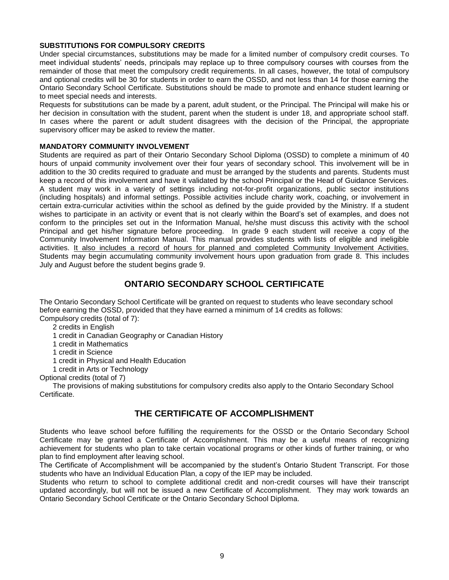#### **SUBSTITUTIONS FOR COMPULSORY CREDITS**

Under special circumstances, substitutions may be made for a limited number of compulsory credit courses. To meet individual students' needs, principals may replace up to three compulsory courses with courses from the remainder of those that meet the compulsory credit requirements. In all cases, however, the total of compulsory and optional credits will be 30 for students in order to earn the OSSD, and not less than 14 for those earning the Ontario Secondary School Certificate. Substitutions should be made to promote and enhance student learning or to meet special needs and interests.

Requests for substitutions can be made by a parent, adult student, or the Principal. The Principal will make his or her decision in consultation with the student, parent when the student is under 18, and appropriate school staff. In cases where the parent or adult student disagrees with the decision of the Principal, the appropriate supervisory officer may be asked to review the matter.

#### **MANDATORY COMMUNITY INVOLVEMENT**

Students are required as part of their Ontario Secondary School Diploma (OSSD) to complete a minimum of 40 hours of unpaid community involvement over their four years of secondary school. This involvement will be in addition to the 30 credits required to graduate and must be arranged by the students and parents. Students must keep a record of this involvement and have it validated by the school Principal or the Head of Guidance Services. A student may work in a variety of settings including not-for-profit organizations, public sector institutions (including hospitals) and informal settings. Possible activities include charity work, coaching, or involvement in certain extra-curricular activities within the school as defined by the guide provided by the Ministry. If a student wishes to participate in an activity or event that is not clearly within the Board's set of examples, and does not conform to the principles set out in the Information Manual, he/she must discuss this activity with the school Principal and get his/her signature before proceeding. In grade 9 each student will receive a copy of the Community Involvement Information Manual. This manual provides students with lists of eligible and ineligible activities. It also includes a record of hours for planned and completed Community Involvement Activities. Students may begin accumulating community involvement hours upon graduation from grade 8. This includes July and August before the student begins grade 9.

### **ONTARIO SECONDARY SCHOOL CERTIFICATE**

The Ontario Secondary School Certificate will be granted on request to students who leave secondary school before earning the OSSD, provided that they have earned a minimum of 14 credits as follows: Compulsory credits (total of 7):

- 2 credits in English
- 1 credit in Canadian Geography or Canadian History
- 1 credit in Mathematics
- 1 credit in Science
- 1 credit in Physical and Health Education
- 1 credit in Arts or Technology

Optional credits (total of 7)

The provisions of making substitutions for compulsory credits also apply to the Ontario Secondary School Certificate.

### **THE CERTIFICATE OF ACCOMPLISHMENT**

Students who leave school before fulfilling the requirements for the OSSD or the Ontario Secondary School Certificate may be granted a Certificate of Accomplishment. This may be a useful means of recognizing achievement for students who plan to take certain vocational programs or other kinds of further training, or who plan to find employment after leaving school.

The Certificate of Accomplishment will be accompanied by the student's Ontario Student Transcript. For those students who have an Individual Education Plan, a copy of the IEP may be included.

Students who return to school to complete additional credit and non-credit courses will have their transcript updated accordingly, but will not be issued a new Certificate of Accomplishment. They may work towards an Ontario Secondary School Certificate or the Ontario Secondary School Diploma.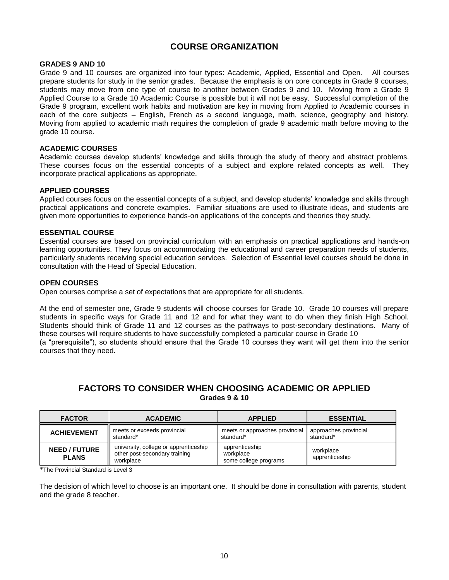### **COURSE ORGANIZATION**

#### **GRADES 9 AND 10**

Grade 9 and 10 courses are organized into four types: Academic, Applied, Essential and Open. All courses prepare students for study in the senior grades. Because the emphasis is on core concepts in Grade 9 courses, students may move from one type of course to another between Grades 9 and 10. Moving from a Grade 9 Applied Course to a Grade 10 Academic Course is possible but it will not be easy. Successful completion of the Grade 9 program, excellent work habits and motivation are key in moving from Applied to Academic courses in each of the core subjects – English, French as a second language, math, science, geography and history. Moving from applied to academic math requires the completion of grade 9 academic math before moving to the grade 10 course.

#### **ACADEMIC COURSES**

Academic courses develop students' knowledge and skills through the study of theory and abstract problems. These courses focus on the essential concepts of a subject and explore related concepts as well. They incorporate practical applications as appropriate.

#### **APPLIED COURSES**

Applied courses focus on the essential concepts of a subject, and develop students' knowledge and skills through practical applications and concrete examples. Familiar situations are used to illustrate ideas, and students are given more opportunities to experience hands-on applications of the concepts and theories they study.

#### **ESSENTIAL COURSE**

Essential courses are based on provincial curriculum with an emphasis on practical applications and hands-on learning opportunities. They focus on accommodating the educational and career preparation needs of students, particularly students receiving special education services. Selection of Essential level courses should be done in consultation with the Head of Special Education.

#### **OPEN COURSES**

Open courses comprise a set of expectations that are appropriate for all students.

At the end of semester one, Grade 9 students will choose courses for Grade 10. Grade 10 courses will prepare students in specific ways for Grade 11 and 12 and for what they want to do when they finish High School. Students should think of Grade 11 and 12 courses as the pathways to post-secondary destinations. Many of these courses will require students to have successfully completed a particular course in Grade 10 (a "prerequisite"), so students should ensure that the Grade 10 courses they want will get them into the senior courses that they need.

### **FACTORS TO CONSIDER WHEN CHOOSING ACADEMIC OR APPLIED Grades 9 & 10**

| <b>FACTOR</b>                        | <b>ACADEMIC</b>                                                                     | <b>APPLIED</b>                                       | <b>ESSENTIAL</b>                   |
|--------------------------------------|-------------------------------------------------------------------------------------|------------------------------------------------------|------------------------------------|
| <b>ACHIEVEMENT</b>                   | meets or exceeds provincial<br>standard*                                            | meets or approaches provincial<br>standard*          | approaches provincial<br>standard* |
| <b>NEED / FUTURE</b><br><b>PLANS</b> | university, college or apprenticeship<br>other post-secondary training<br>workplace | apprenticeship<br>workplace<br>some college programs | workplace<br>apprenticeship        |

\*The Provincial Standard is Level 3

The decision of which level to choose is an important one. It should be done in consultation with parents, student and the grade 8 teacher.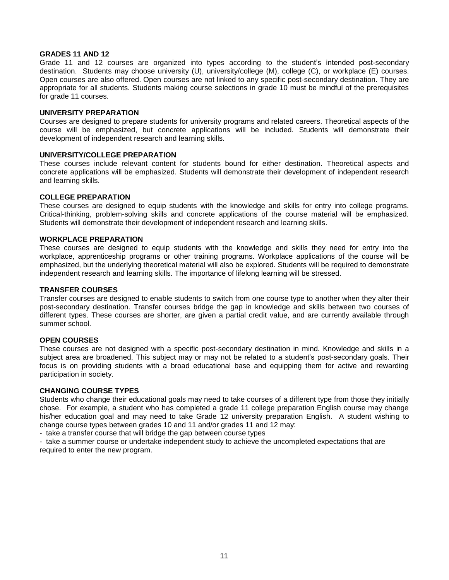#### **GRADES 11 AND 12**

Grade 11 and 12 courses are organized into types according to the student's intended post-secondary destination. Students may choose university (U), university/college (M), college (C), or workplace (E) courses. Open courses are also offered. Open courses are not linked to any specific post-secondary destination. They are appropriate for all students. Students making course selections in grade 10 must be mindful of the prerequisites for grade 11 courses.

#### **UNIVERSITY PREPARATION**

Courses are designed to prepare students for university programs and related careers. Theoretical aspects of the course will be emphasized, but concrete applications will be included. Students will demonstrate their development of independent research and learning skills.

#### **UNIVERSITY/COLLEGE PREPARATION**

These courses include relevant content for students bound for either destination. Theoretical aspects and concrete applications will be emphasized. Students will demonstrate their development of independent research and learning skills.

#### **COLLEGE PREPARATION**

These courses are designed to equip students with the knowledge and skills for entry into college programs. Critical-thinking, problem-solving skills and concrete applications of the course material will be emphasized. Students will demonstrate their development of independent research and learning skills.

#### **WORKPLACE PREPARATION**

These courses are designed to equip students with the knowledge and skills they need for entry into the workplace, apprenticeship programs or other training programs. Workplace applications of the course will be emphasized, but the underlying theoretical material will also be explored. Students will be required to demonstrate independent research and learning skills. The importance of lifelong learning will be stressed.

#### **TRANSFER COURSES**

Transfer courses are designed to enable students to switch from one course type to another when they alter their post-secondary destination. Transfer courses bridge the gap in knowledge and skills between two courses of different types. These courses are shorter, are given a partial credit value, and are currently available through summer school.

#### **OPEN COURSES**

These courses are not designed with a specific post-secondary destination in mind. Knowledge and skills in a subject area are broadened. This subject may or may not be related to a student's post-secondary goals. Their focus is on providing students with a broad educational base and equipping them for active and rewarding participation in society.

#### **CHANGING COURSE TYPES**

Students who change their educational goals may need to take courses of a different type from those they initially chose. For example, a student who has completed a grade 11 college preparation English course may change his/her education goal and may need to take Grade 12 university preparation English. A student wishing to change course types between grades 10 and 11 and/or grades 11 and 12 may:

- take a transfer course that will bridge the gap between course types

- take a summer course or undertake independent study to achieve the uncompleted expectations that are required to enter the new program.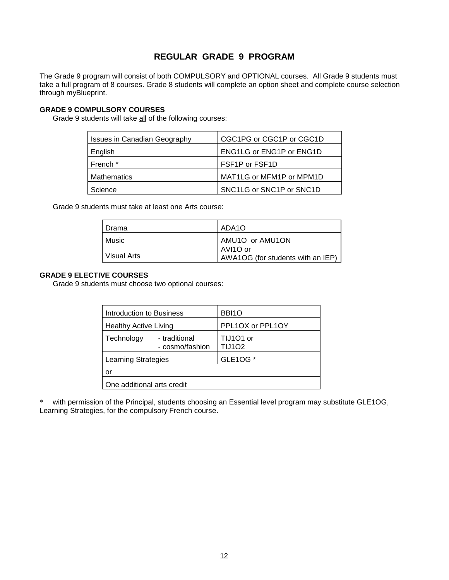### **REGULAR GRADE 9 PROGRAM**

The Grade 9 program will consist of both COMPULSORY and OPTIONAL courses. All Grade 9 students must take a full program of 8 courses. Grade 8 students will complete an option sheet and complete course selection through myBlueprint.

### **GRADE 9 COMPULSORY COURSES**

Grade 9 students will take all of the following courses:

| <b>Issues in Canadian Geography</b> | CGC1PG or CGC1P or CGC1D        |
|-------------------------------------|---------------------------------|
| English                             | <b>ENG1LG or ENG1P or ENG1D</b> |
| French <sup>*</sup>                 | FSF1P or FSF1D                  |
| <b>Mathematics</b>                  | MAT1LG or MFM1P or MPM1D        |
| Science                             | SNC1LG or SNC1P or SNC1D        |

Grade 9 students must take at least one Arts course:

| Drama       | ADA1O                                         |
|-------------|-----------------------------------------------|
| Music       | AMU1O or AMU1ON                               |
| Visual Arts | AVI1O or<br>AWA1OG (for students with an IEP) |

#### **GRADE 9 ELECTIVE COURSES**

Grade 9 students must choose two optional courses:

| Introduction to Business                       | BBI <sub>10</sub>          |  |
|------------------------------------------------|----------------------------|--|
| <b>Healthy Active Living</b>                   | PPL1OX or PPL1OY           |  |
| Technology<br>- traditional<br>- cosmo/fashion | TIJ101 or<br><b>TIJ102</b> |  |
| GLE10G *<br><b>Learning Strategies</b>         |                            |  |
| or                                             |                            |  |
| One additional arts credit                     |                            |  |

\* with permission of the Principal, students choosing an Essential level program may substitute GLE1OG, Learning Strategies, for the compulsory French course.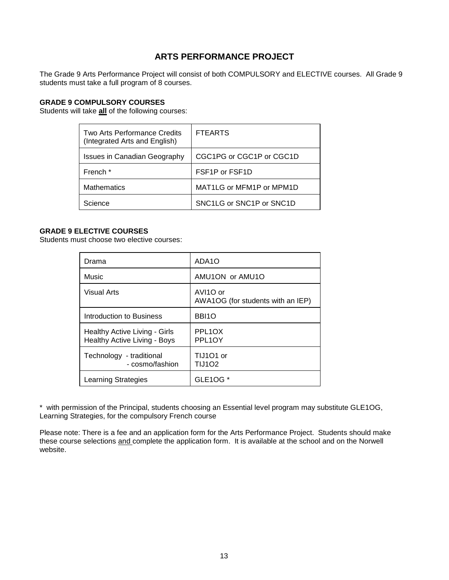### **ARTS PERFORMANCE PROJECT**

The Grade 9 Arts Performance Project will consist of both COMPULSORY and ELECTIVE courses. All Grade 9 students must take a full program of 8 courses.

### **GRADE 9 COMPULSORY COURSES**

Students will take **all** of the following courses:

| Two Arts Performance Credits<br>(Integrated Arts and English) | <b>FTEARTS</b>                           |
|---------------------------------------------------------------|------------------------------------------|
| <b>Issues in Canadian Geography</b>                           | CGC1PG or CGC1P or CGC1D                 |
| French *                                                      | FSF <sub>1</sub> P or FSF <sub>1</sub> D |
| <b>Mathematics</b>                                            | MAT1LG or MFM1P or MPM1D                 |
| Science                                                       | SNC1LG or SNC1P or SNC1D                 |

#### **GRADE 9 ELECTIVE COURSES**

Students must choose two elective courses:

| Drama                                                                | ADA1O                                         |
|----------------------------------------------------------------------|-----------------------------------------------|
| Music                                                                | AMU1ON or AMU1O                               |
| <b>Visual Arts</b>                                                   | AVI1O or<br>AWA1OG (for students with an IEP) |
| Introduction to Business                                             | BBI <sub>1</sub> O                            |
| Healthy Active Living - Girls<br><b>Healthy Active Living - Boys</b> | PPL <sub>1</sub> OX<br>PPL <sub>1</sub> OY    |
| Technology - traditional<br>- cosmo/fashion                          | TIJ101 or<br><b>TIJ102</b>                    |
| <b>Learning Strategies</b>                                           | GLE1OG *                                      |

\* with permission of the Principal, students choosing an Essential level program may substitute GLE1OG, Learning Strategies, for the compulsory French course

Please note: There is a fee and an application form for the Arts Performance Project. Students should make these course selections and complete the application form. It is available at the school and on the Norwell website.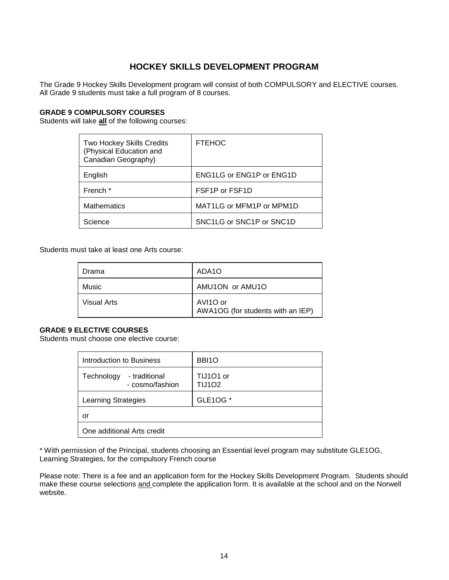### **HOCKEY SKILLS DEVELOPMENT PROGRAM**

The Grade 9 Hockey Skills Development program will consist of both COMPULSORY and ELECTIVE courses. All Grade 9 students must take a full program of 8 courses.

#### **GRADE 9 COMPULSORY COURSES**

Students will take **all** of the following courses:

| <b>Two Hockey Skills Credits</b><br>(Physical Education and<br>Canadian Geography) | <b>FTEHOC</b>                            |
|------------------------------------------------------------------------------------|------------------------------------------|
| English                                                                            | <b>ENG1LG or ENG1P or ENG1D</b>          |
| French *                                                                           | FSF <sub>1</sub> P or FSF <sub>1</sub> D |
| <b>Mathematics</b>                                                                 | MAT1LG or MFM1P or MPM1D                 |
| Science                                                                            | SNC1LG or SNC1P or SNC1D                 |

Students must take at least one Arts course:

| Drama       | ADA1O                                         |
|-------------|-----------------------------------------------|
| Music       | AMU1ON or AMU1O                               |
| Visual Arts | AVI1O or<br>AWA1OG (for students with an IEP) |

#### **GRADE 9 ELECTIVE COURSES**

Students must choose one elective course:

| Introduction to Business                       | BBI <sub>1</sub> O         |
|------------------------------------------------|----------------------------|
| Technology<br>- traditional<br>- cosmo/fashion | TIJ101 or<br><b>TIJ102</b> |
| <b>Learning Strategies</b>                     | GLE10G *                   |
| or                                             |                            |
| One additional Arts credit                     |                            |

\* With permission of the Principal, students choosing an Essential level program may substitute GLE1OG, Learning Strategies, for the compulsory French course

Please note: There is a fee and an application form for the Hockey Skills Development Program. Students should make these course selections and complete the application form. It is available at the school and on the Norwell website.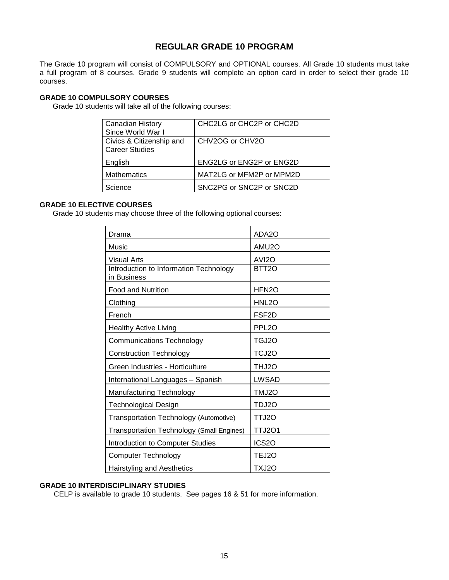### **REGULAR GRADE 10 PROGRAM**

The Grade 10 program will consist of COMPULSORY and OPTIONAL courses. All Grade 10 students must take a full program of 8 courses. Grade 9 students will complete an option card in order to select their grade 10 courses.

#### **GRADE 10 COMPULSORY COURSES**

Grade 10 students will take all of the following courses:

| <b>Canadian History</b>  | CHC2LG or CHC2P or CHC2D |
|--------------------------|--------------------------|
| Since World War I        |                          |
| Civics & Citizenship and | CHV2OG or CHV2O          |
| <b>Career Studies</b>    |                          |
| English                  | ENG2LG or ENG2P or ENG2D |
| <b>Mathematics</b>       | MAT2LG or MFM2P or MPM2D |
| Science                  | SNC2PG or SNC2P or SNC2D |
|                          |                          |

#### **GRADE 10 ELECTIVE COURSES**

Grade 10 students may choose three of the following optional courses:

| Drama                                                 | ADA2O              |
|-------------------------------------------------------|--------------------|
| Music                                                 | AMU2O              |
| <b>Visual Arts</b>                                    | AVI <sub>20</sub>  |
| Introduction to Information Technology<br>in Business | BTT <sub>2</sub> O |
| <b>Food and Nutrition</b>                             | HFN <sub>2</sub> O |
| Clothing                                              | HNL2O              |
| French                                                | FSF <sub>2</sub> D |
| <b>Healthy Active Living</b>                          | PPL <sub>20</sub>  |
| <b>Communications Technology</b>                      | TGJ2O              |
| <b>Construction Technology</b>                        | TCJ2O              |
| Green Industries - Horticulture                       | THJ2O              |
| International Languages - Spanish                     | <b>LWSAD</b>       |
| Manufacturing Technology                              | TMJ2O              |
| <b>Technological Design</b>                           | TDJ2O              |
| Transportation Technology (Automotive)                | TTJ2O              |
| <b>Transportation Technology (Small Engines)</b>      | <b>TTJ201</b>      |
| Introduction to Computer Studies                      | ICS <sub>20</sub>  |
| <b>Computer Technology</b>                            | TEJ2O              |
| <b>Hairstyling and Aesthetics</b>                     | TXJ2O              |

### **GRADE 10 INTERDISCIPLINARY STUDIES**

CELP is available to grade 10 students. See pages 16 & 51 for more information.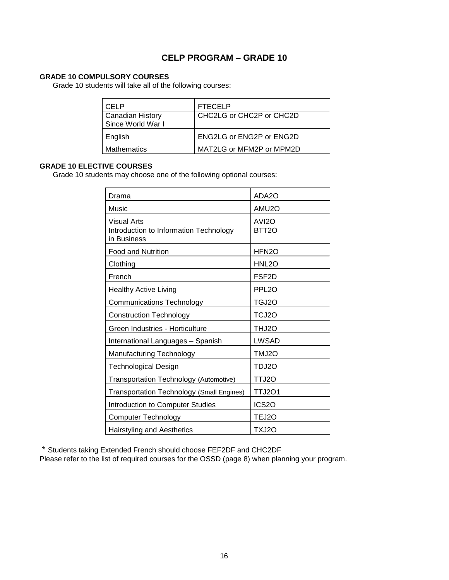### **CELP PROGRAM – GRADE 10**

### **GRADE 10 COMPULSORY COURSES**

Grade 10 students will take all of the following courses:

| CELP                    | <b>FTECELP</b>           |
|-------------------------|--------------------------|
| <b>Canadian History</b> | CHC2LG or CHC2P or CHC2D |
| Since World War I       |                          |
| English                 | ENG2LG or ENG2P or ENG2D |
| <b>Mathematics</b>      | MAT2LG or MFM2P or MPM2D |

### **GRADE 10 ELECTIVE COURSES**

Grade 10 students may choose one of the following optional courses:

| Drama                                                 | ADA2O              |
|-------------------------------------------------------|--------------------|
| Music                                                 | AMU2O              |
| <b>Visual Arts</b>                                    | AVI <sub>2</sub> O |
| Introduction to Information Technology<br>in Business | BTT <sub>20</sub>  |
| <b>Food and Nutrition</b>                             | HFN <sub>2</sub> O |
| Clothing                                              | HNL2O              |
| French                                                | FSF <sub>2</sub> D |
| <b>Healthy Active Living</b>                          | PPL <sub>20</sub>  |
| <b>Communications Technology</b>                      | TGJ2O              |
| <b>Construction Technology</b>                        | TCJ2O              |
| Green Industries - Horticulture                       | THJ2O              |
| International Languages - Spanish                     | <b>LWSAD</b>       |
| Manufacturing Technology                              | TMJ2O              |
| <b>Technological Design</b>                           | TDJ2O              |
| Transportation Technology (Automotive)                | TTJ2O              |
| Transportation Technology (Small Engines)             | <b>TTJ2O1</b>      |
| Introduction to Computer Studies                      | ICS <sub>20</sub>  |
| <b>Computer Technology</b>                            | TEJ2O              |
| <b>Hairstyling and Aesthetics</b>                     | TXJ2O              |

\* Students taking Extended French should choose FEF2DF and CHC2DF

Please refer to the list of required courses for the OSSD (page 8) when planning your program.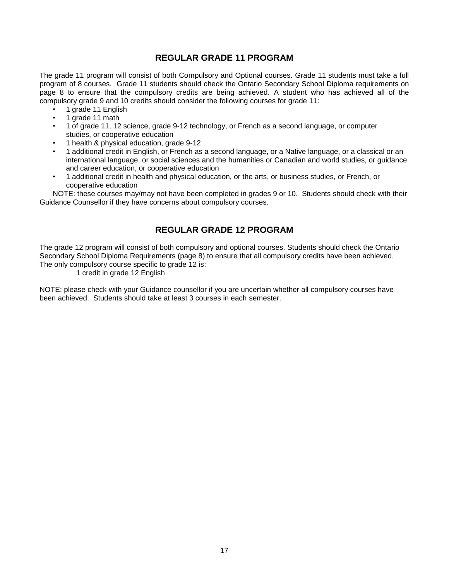### **REGULAR GRADE 11 PROGRAM**

The grade 11 program will consist of both Compulsory and Optional courses. Grade 11 students must take a full program of 8 courses. Grade 11 students should check the Ontario Secondary School Diploma requirements on page 8 to ensure that the compulsory credits are being achieved. A student who has achieved all of the compulsory grade 9 and 10 credits should consider the following courses for grade 11:

- 1 grade 11 English
- 1 grade 11 math
- 1 of grade 11, 12 science, grade 9-12 technology, or French as a second language, or computer studies, or cooperative education
- 1 health & physical education, grade 9-12
- 1 additional credit in English, or French as a second language, or a Native language, or a classical or an international language, or social sciences and the humanities or Canadian and world studies, or guidance and career education, or cooperative education
- 1 additional credit in health and physical education, or the arts, or business studies, or French, or cooperative education

NOTE: these courses may/may not have been completed in grades 9 or 10. Students should check with their Guidance Counsellor if they have concerns about compulsory courses.

### **REGULAR GRADE 12 PROGRAM**

The grade 12 program will consist of both compulsory and optional courses. Students should check the Ontario Secondary School Diploma Requirements (page 8) to ensure that all compulsory credits have been achieved. The only compulsory course specific to grade 12 is:

1 credit in grade 12 English

NOTE: please check with your Guidance counsellor if you are uncertain whether all compulsory courses have been achieved. Students should take at least 3 courses in each semester.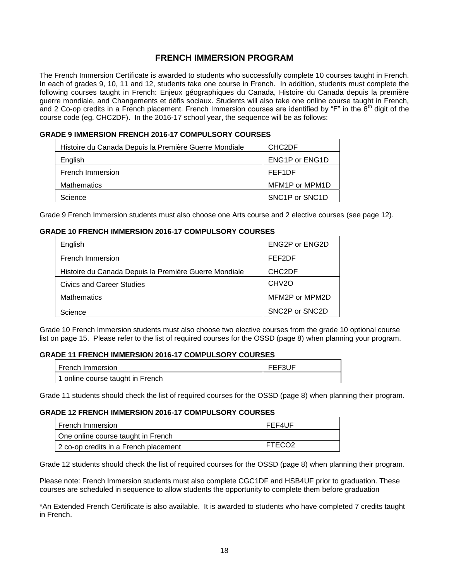### **FRENCH IMMERSION PROGRAM**

The French Immersion Certificate is awarded to students who successfully complete 10 courses taught in French. In each of grades 9, 10, 11 and 12, students take one course in French. In addition, students must complete the following courses taught in French: Enjeux géographiques du Canada, Histoire du Canada depuis la première guerre mondiale, and Changements et défis sociaux. Students will also take one online course taught in French, and 2 Co-op credits in a French placement. French Immersion courses are identified by "F" in the  $6<sup>th</sup>$  digit of the course code (eg. CHC2DF). In the 2016-17 school year, the sequence will be as follows:

#### **GRADE 9 IMMERSION FRENCH 2016-17 COMPULSORY COURSES**

| Histoire du Canada Depuis la Première Guerre Mondiale | CHC <sub>2</sub> DF                      |
|-------------------------------------------------------|------------------------------------------|
| English                                               | ENG1P or ENG1D                           |
| French Immersion                                      | FEF1DF                                   |
| <b>Mathematics</b>                                    | MFM1P or MPM1D                           |
| Science                                               | SNC <sub>1</sub> P or SNC <sub>1</sub> D |

Grade 9 French Immersion students must also choose one Arts course and 2 elective courses (see page 12).

#### **GRADE 10 FRENCH IMMERSION 2016-17 COMPULSORY COURSES**

| English                                               | <b>ENG2P or ENG2D</b> |
|-------------------------------------------------------|-----------------------|
| French Immersion                                      | FEF2DF                |
| Histoire du Canada Depuis la Première Guerre Mondiale | CHC <sub>2</sub> DF   |
| <b>Civics and Career Studies</b>                      | CHV <sub>2</sub> O    |
| <b>Mathematics</b>                                    | MFM2P or MPM2D        |
| Science                                               | SNC2P or SNC2D        |

Grade 10 French Immersion students must also choose two elective courses from the grade 10 optional course list on page 15. Please refer to the list of required courses for the OSSD (page 8) when planning your program.

#### **GRADE 11 FRENCH IMMERSION 2016-17 COMPULSORY COURSES**

| l French Immersion i             | FEF3UF |
|----------------------------------|--------|
| 1 online course taught in French |        |

Grade 11 students should check the list of required courses for the OSSD (page 8) when planning their program.

#### **GRADE 12 FRENCH IMMERSION 2016-17 COMPULSORY COURSES**

| I French Immersion                    | FEF4UF             |
|---------------------------------------|--------------------|
| One online course taught in French    |                    |
| 2 co-op credits in a French placement | FTECO <sub>2</sub> |

Grade 12 students should check the list of required courses for the OSSD (page 8) when planning their program.

Please note: French Immersion students must also complete CGC1DF and HSB4UF prior to graduation. These courses are scheduled in sequence to allow students the opportunity to complete them before graduation

\*An Extended French Certificate is also available. It is awarded to students who have completed 7 credits taught in French.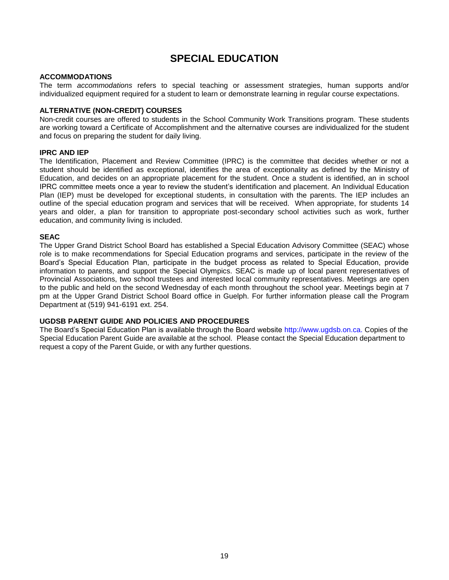# **SPECIAL EDUCATION**

#### **ACCOMMODATIONS**

The term *accommodations* refers to special teaching or assessment strategies, human supports and/or individualized equipment required for a student to learn or demonstrate learning in regular course expectations.

#### **ALTERNATIVE (NON-CREDIT) COURSES**

Non-credit courses are offered to students in the School Community Work Transitions program. These students are working toward a Certificate of Accomplishment and the alternative courses are individualized for the student and focus on preparing the student for daily living.

#### **IPRC AND IEP**

The Identification, Placement and Review Committee (IPRC) is the committee that decides whether or not a student should be identified as exceptional, identifies the area of exceptionality as defined by the Ministry of Education, and decides on an appropriate placement for the student. Once a student is identified, an in school IPRC committee meets once a year to review the student's identification and placement. An Individual Education Plan (IEP) must be developed for exceptional students, in consultation with the parents. The IEP includes an outline of the special education program and services that will be received. When appropriate, for students 14 years and older, a plan for transition to appropriate post-secondary school activities such as work, further education, and community living is included.

#### **SEAC**

The Upper Grand District School Board has established a Special Education Advisory Committee (SEAC) whose role is to make recommendations for Special Education programs and services, participate in the review of the Board's Special Education Plan, participate in the budget process as related to Special Education, provide information to parents, and support the Special Olympics. SEAC is made up of local parent representatives of Provincial Associations, two school trustees and interested local community representatives. Meetings are open to the public and held on the second Wednesday of each month throughout the school year. Meetings begin at 7 pm at the Upper Grand District School Board office in Guelph. For further information please call the Program Department at (519) 941-6191 ext. 254.

#### **UGDSB PARENT GUIDE AND POLICIES AND PROCEDURES**

The Board's Special Education Plan is available through the Board website [http://www.ugdsb.on.ca.](http://www.ugdsb.on.ca./) Copies of the Special Education Parent Guide are available at the school. Please contact the Special Education department to request a copy of the Parent Guide, or with any further questions.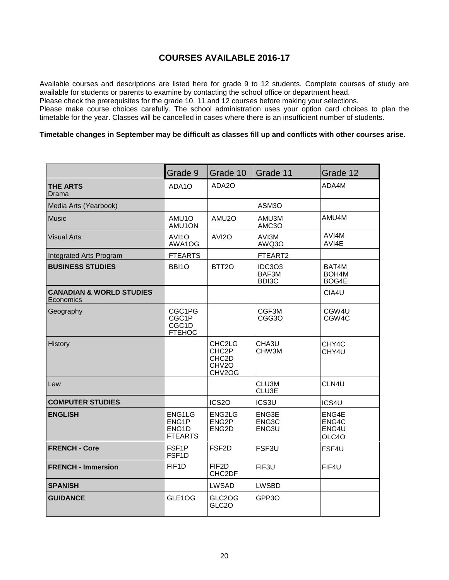### **COURSES AVAILABLE 2016-17**

Available courses and descriptions are listed here for grade 9 to 12 students. Complete courses of study are available for students or parents to examine by contacting the school office or department head.

Please check the prerequisites for the grade 10, 11 and 12 courses before making your selections.

Please make course choices carefully. The school administration uses your option card choices to plan the timetable for the year. Classes will be cancelled in cases where there is an insufficient number of students.

#### **Timetable changes in September may be difficult as classes fill up and conflicts with other courses arise.**

|                                                  | Grade 9                                    | Grade 10                                                                           | Grade 11                        | Grade 12                                |
|--------------------------------------------------|--------------------------------------------|------------------------------------------------------------------------------------|---------------------------------|-----------------------------------------|
| <b>THE ARTS</b><br>Drama                         | ADA1O                                      | ADA2O                                                                              |                                 | ADA4M                                   |
| Media Arts (Yearbook)                            |                                            |                                                                                    | ASM3O                           |                                         |
| <b>Music</b>                                     | AMU1O<br>AMU1ON                            | AMU2O                                                                              | AMU3M<br>AMC3O                  | AMU4M                                   |
| <b>Visual Arts</b>                               | AVI1O<br>AWA1OG                            | AVI <sub>20</sub>                                                                  | AVI3M<br>AWQ3O                  | AVI4M<br>AVI4E                          |
| Integrated Arts Program                          | <b>FTEARTS</b>                             |                                                                                    | FTEART2                         |                                         |
| <b>BUSINESS STUDIES</b>                          | BBI1O                                      | BTT <sub>20</sub>                                                                  | <b>IDC3O3</b><br>BAF3M<br>BDI3C | BAT4M<br>BOH <sub>4</sub> M<br>BOG4E    |
| <b>CANADIAN &amp; WORLD STUDIES</b><br>Economics |                                            |                                                                                    |                                 | CIA4U                                   |
| Geography                                        | CGC1PG<br>CGC1P<br>CGC1D<br><b>FTEHOC</b>  |                                                                                    | CGF3M<br>CGG3O                  | CGW <sub>4U</sub><br>CGW <sub>4</sub> C |
| History                                          |                                            | CHC2LG<br>CHC <sub>2</sub> P<br>CHC <sub>2</sub> D<br>CHV <sub>2</sub> O<br>CHV2OG | CHA3U<br>CHW3M                  | CHY4C<br>CHY4U                          |
| Law                                              |                                            |                                                                                    | CLU3M<br>CLU3E                  | CLN4U                                   |
| <b>COMPUTER STUDIES</b>                          |                                            | ICS <sub>20</sub>                                                                  | ICS3U                           | ICS4U                                   |
| <b>ENGLISH</b>                                   | ENG1LG<br>ENG1P<br>ENG1D<br><b>FTEARTS</b> | ENG2LG<br>ENG <sub>2</sub> P<br>ENG <sub>2</sub> D                                 | ENG3E<br>ENG3C<br>ENG3U         | ENG4E<br>ENG4C<br>ENG4U<br>OLC4O        |
| <b>FRENCH - Core</b>                             | FSF <sub>1</sub> P<br>FSF1D                | FSF <sub>2</sub> D                                                                 | FSF3U                           | FSF4U                                   |
| <b>FRENCH - Immersion</b>                        | FIF <sub>1</sub> D                         | FIF <sub>2</sub> D<br>CHC2DF                                                       | FIF3U                           | FIF4U                                   |
| <b>SPANISH</b>                                   |                                            | <b>LWSAD</b>                                                                       | <b>LWSBD</b>                    |                                         |
| <b>GUIDANCE</b>                                  | GLE1OG                                     | GLC2OG<br>GLC <sub>20</sub>                                                        | GPP <sub>3</sub> O              |                                         |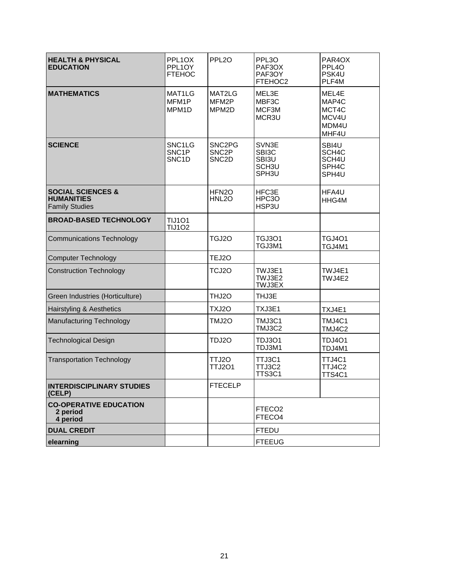| <b>HEALTH &amp; PHYSICAL</b><br><b>EDUCATION</b>                           | PPL1OX<br>PPL1OY<br><b>FTEHOC</b>                              | PPL <sub>20</sub>                                                           | PPL3O<br>PAF3OX<br>PAF3OY<br>FTEHOC2                  | PAR4OX<br>PPL <sub>40</sub><br>PSK4U<br>PLF4M                      |
|----------------------------------------------------------------------------|----------------------------------------------------------------|-----------------------------------------------------------------------------|-------------------------------------------------------|--------------------------------------------------------------------|
| <b>MATHEMATICS</b>                                                         | MAT1LG<br>MFM1P<br>MPM <sub>1</sub> D                          | MAT2LG<br>MFM2P<br>MPM2D                                                    | MEL3E<br>MBF3C<br>MCF3M<br>MCR3U                      | MEL4E<br>MAP4C<br>MCT4C<br>MCV4U<br>MDM4U<br>MHF4U                 |
| <b>SCIENCE</b>                                                             | SNC <sub>1</sub> LG<br>SNC <sub>1P</sub><br>SNC <sub>1</sub> D | SNC <sub>2</sub> P <sub>G</sub><br>SNC <sub>2</sub> P<br>SNC <sub>2</sub> D | SVN3E<br>SBI3C<br>SBI3U<br>SCH <sub>3U</sub><br>SPH3U | SBI4U<br>SCH <sub>4</sub> C<br>SCH4U<br>SPH <sub>4C</sub><br>SPH4U |
| <b>SOCIAL SCIENCES &amp;</b><br><b>HUMANITIES</b><br><b>Family Studies</b> |                                                                | HFN <sub>2</sub> O<br>HNL <sub>20</sub>                                     | HFC3E<br>HPC3O<br>HSP3U                               | HFA4U<br>HHG4M                                                     |
| <b>BROAD-BASED TECHNOLOGY</b>                                              | <b>TIJ101</b><br><b>TIJ102</b>                                 |                                                                             |                                                       |                                                                    |
| <b>Communications Technology</b>                                           |                                                                | TGJ2O                                                                       | <b>TGJ3O1</b><br>TGJ3M1                               | <b>TGJ4O1</b><br>TGJ4M1                                            |
| <b>Computer Technology</b>                                                 |                                                                | TEJ2O                                                                       |                                                       |                                                                    |
| <b>Construction Technology</b>                                             |                                                                | TCJ2O                                                                       | TWJ3E1<br>TWJ3E2<br><b>TWJ3EX</b>                     | TWJ4E1<br>TWJ4E2                                                   |
| Green Industries (Horticulture)                                            |                                                                | THJ2O                                                                       | THJ3E                                                 |                                                                    |
| Hairstyling & Aesthetics                                                   |                                                                | TXJ2O                                                                       | TXJ3E1                                                | TXJ4E1                                                             |
| <b>Manufacturing Technology</b>                                            |                                                                | TMJ2O                                                                       | TMJ3C1<br>TMJ3C2                                      | TMJ4C1<br>TMJ4C2                                                   |
| <b>Technological Design</b>                                                |                                                                | TDJ2O                                                                       | TDJ3O1<br>TDJ3M1                                      | <b>TDJ4O1</b><br>TDJ4M1                                            |
| <b>Transportation Technology</b>                                           |                                                                | TTJ2O<br><b>TTJ2O1</b>                                                      | TTJ3C1<br>TTJ3C2<br>TTS3C1                            | TTJ4C1<br>TTJ4C2<br><b>TTS4C1</b>                                  |
| <b>INTERDISCIPLINARY STUDIES</b><br>(CELP)                                 |                                                                | <b>FTECELP</b>                                                              |                                                       |                                                                    |
| <b>CO-OPERATIVE EDUCATION</b><br>2 period<br>4 period                      |                                                                |                                                                             | FTECO <sub>2</sub><br>FTECO4                          |                                                                    |
| <b>DUAL CREDIT</b>                                                         |                                                                |                                                                             | <b>FTEDU</b>                                          |                                                                    |
| elearning                                                                  |                                                                |                                                                             | <b>FTEEUG</b>                                         |                                                                    |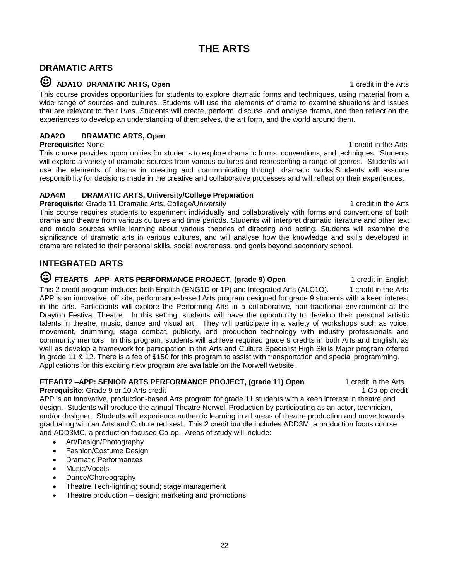### **DRAMATIC ARTS**

### ☺ **ADA1O DRAMATIC ARTS, Open** 1 credit in the Arts

This course provides opportunities for students to explore dramatic forms and techniques, using material from a wide range of sources and cultures. Students will use the elements of drama to examine situations and issues that are relevant to their lives. Students will create, perform, discuss, and analyse drama, and then reflect on the experiences to develop an understanding of themselves, the art form, and the world around them.

### **ADA2O DRAMATIC ARTS, Open**

**Prerequisite:** None 1 credit in the Arts This course provides opportunities for students to explore dramatic forms, conventions, and techniques. Students will explore a variety of dramatic sources from various cultures and representing a range of genres. Students will use the elements of drama in creating and communicating through dramatic works.Students will assume responsibility for decisions made in the creative and collaborative processes and will reflect on their experiences.

### **ADA4M DRAMATIC ARTS, University/College Preparation**

**Prerequisite**: Grade 11 Dramatic Arts, College/University 1 credition to 1 credit in the Arts This course requires students to experiment individually and collaboratively with forms and conventions of both drama and theatre from various cultures and time periods. Students will interpret dramatic literature and other text and media sources while learning about various theories of directing and acting. Students will examine the significance of dramatic arts in various cultures, and will analyse how the knowledge and skills developed in drama are related to their personal skills, social awareness, and goals beyond secondary school.

### **INTEGRATED ARTS**

# ☺ **FTEARTS APP- ARTS PERFORMANCE PROJECT, (grade 9) Open** 1 credit in English

This 2 credit program includes both English (ENG1D or 1P) and Integrated Arts (ALC1O). 1 credit in the Arts APP is an innovative, off site, performance-based Arts program designed for grade 9 students with a keen interest in the arts. Participants will explore the Performing Arts in a collaborative, non-traditional environment at the Drayton Festival Theatre. In this setting, students will have the opportunity to develop their personal artistic talents in theatre, music, dance and visual art. They will participate in a variety of workshops such as voice, movement, drumming, stage combat, publicity, and production technology with industry professionals and community mentors. In this program, students will achieve required grade 9 credits in both Arts and English, as well as develop a framework for participation in the Arts and Culture Specialist High Skills Major program offered in grade 11 & 12. There is a fee of \$150 for this program to assist with transportation and special programming. Applications for this exciting new program are available on the Norwell website.

### **FTEART2-APP: SENIOR ARTS PERFORMANCE PROJECT, (grade 11) Open 1 credit in the Arts**

**Prerequisite**: Grade 9 or 10 Arts credit 1 Co-op credit 1 Co-op credit 1 Co-op credit

APP is an innovative, production-based Arts program for grade 11 students with a keen interest in theatre and design. Students will produce the annual Theatre Norwell Production by participating as an actor, technician, and/or designer. Students will experience authentic learning in all areas of theatre production and move towards graduating with an Arts and Culture red seal. This 2 credit bundle includes ADD3M, a production focus course and ADD3MC, a production focused Co-op. Areas of study will include:

- Art/Design/Photography
- Fashion/Costume Design
- Dramatic Performances
- Music/Vocals
- Dance/Choreography
- Theatre Tech-lighting; sound; stage management
- Theatre production design; marketing and promotions

22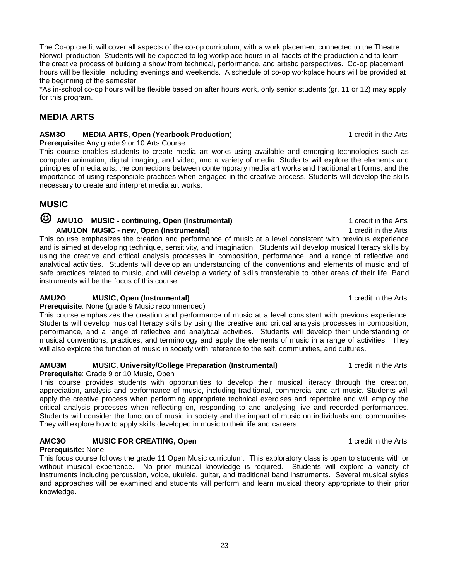The Co-op credit will cover all aspects of the co-op curriculum, with a work placement connected to the Theatre Norwell production. Students will be expected to log workplace hours in all facets of the production and to learn the creative process of building a show from technical, performance, and artistic perspectives. Co-op placement hours will be flexible, including evenings and weekends. A schedule of co-op workplace hours will be provided at the beginning of the semester.

\*As in-school co-op hours will be flexible based on after hours work, only senior students (gr. 11 or 12) may apply for this program.

## **MEDIA ARTS**

### **ASM3O MEDIA ARTS, Open (Yearbook Production)** 1 credit in the Arts

**Prerequisite:** Any grade 9 or 10 Arts Course

This course enables students to create media art works using available and emerging technologies such as computer animation, digital imaging, and video, and a variety of media. Students will explore the elements and principles of media arts, the connections between contemporary media art works and traditional art forms, and the importance of using responsible practices when engaged in the creative process. Students will develop the skills necessary to create and interpret media art works.

### **MUSIC**

### ☺ **AMU1O MUSIC - continuing, Open (Instrumental)** 1 credit in the Arts  **AMU1ON MUSIC - new, Open (Instrumental)** 1 credit in the Arts

This course emphasizes the creation and performance of music at a level consistent with previous experience and is aimed at developing technique, sensitivity, and imagination. Students will develop musical literacy skills by using the creative and critical analysis processes in composition, performance, and a range of reflective and analytical activities. Students will develop an understanding of the conventions and elements of music and of safe practices related to music, and will develop a variety of skills transferable to other areas of their life. Band instruments will be the focus of this course.

### **AMU2O MUSIC, Open (Instrumental)** 1 credit in the Arts

### **Prerequisite**: None (grade 9 Music recommended)

This course emphasizes the creation and performance of music at a level consistent with previous experience. Students will develop musical literacy skills by using the creative and critical analysis processes in composition, performance, and a range of reflective and analytical activities. Students will develop their understanding of musical conventions, practices, and terminology and apply the elements of music in a range of activities. They will also explore the function of music in society with reference to the self, communities, and cultures.

### **AMU3M MUSIC, University/College Preparation (Instrumental)** 1 credit in the Arts

### **Prerequisite**: Grade 9 or 10 Music, Open

This course provides students with opportunities to develop their musical literacy through the creation, appreciation, analysis and performance of music, including traditional, commercial and art music. Students will apply the creative process when performing appropriate technical exercises and repertoire and will employ the critical analysis processes when reflecting on, responding to and analysing live and recorded performances. Students will consider the function of music in society and the impact of music on individuals and communities. They will explore how to apply skills developed in music to their life and careers.

### **AMC3O MUSIC FOR CREATING, Open** 1 **CONSTRUSS 2006** 1 **CONSTRUSS 2006** 1 **CONSTRUSS 2006** 1 **CONSTRUSS 2006** 2016

### **Prerequisite:** None

This focus course follows the grade 11 Open Music curriculum. This exploratory class is open to students with or without musical experience. No prior musical knowledge is required. Students will explore a variety of instruments including percussion, voice, ukulele, guitar, and traditional band instruments. Several musical styles and approaches will be examined and students will perform and learn musical theory appropriate to their prior knowledge.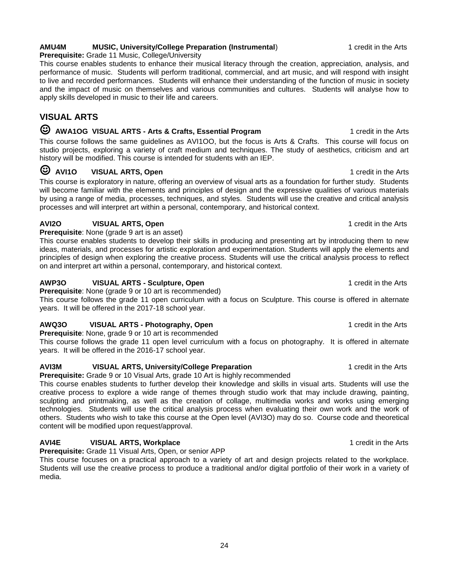### **AMU4M MUSIC, University/College Preparation (Instrumental**) 1 credit in the Arts

**Prerequisite:** Grade 11 Music, College/University

This course enables students to enhance their musical literacy through the creation, appreciation, analysis, and performance of music. Students will perform traditional, commercial, and art music, and will respond with insight to live and recorded performances. Students will enhance their understanding of the function of music in society and the impact of music on themselves and various communities and cultures. Students will analyse how to apply skills developed in music to their life and careers.

### **VISUAL ARTS**

### ☺ **AWA1OG VISUAL ARTS - Arts & Crafts, Essential Program** 1 credit in the Arts

This course follows the same guidelines as AVI1OO, but the focus is Arts & Crafts. This course will focus on studio projects, exploring a variety of craft medium and techniques. The study of aesthetics, criticism and art history will be modified. This course is intended for students with an IEP.

### ☺ **AVI1O VISUAL ARTS, Open** 1 credit in the Arts

This course is exploratory in nature, offering an overview of visual arts as a foundation for further study. Students will become familiar with the elements and principles of design and the expressive qualities of various materials by using a range of media, processes, techniques, and styles. Students will use the creative and critical analysis processes and will interpret art within a personal, contemporary, and historical context.

### **AVI2O** VISUAL ARTS, Open **1** CONSUMERTY **1** Credit in the Arts

**Prerequisite**: None (grade 9 art is an asset)

This course enables students to develop their skills in producing and presenting art by introducing them to new ideas, materials, and processes for artistic exploration and experimentation. Students will apply the elements and principles of design when exploring the creative process. Students will use the critical analysis process to reflect on and interpret art within a personal, contemporary, and historical context.

### **AWP3O VISUAL ARTS - Sculpture, Open** 1 credit in the Arts

**Prerequisite:** None (grade 9 or 10 art is recommended)

This course follows the grade 11 open curriculum with a focus on Sculpture. This course is offered in alternate years. It will be offered in the 2017-18 school year.

### **AWQ3O VISUAL ARTS - Photography, Open** 1 credit in the Arts

**Prerequisite**: None, grade 9 or 10 art is recommended This course follows the grade 11 open level curriculum with a focus on photography. It is offered in alternate years. It will be offered in the 2016-17 school year.

### **AVI3M VISUAL ARTS, University/College Preparation** 1 credit in the Arts

**Prerequisite:** Grade 9 or 10 Visual Arts, grade 10 Art is highly recommended

This course enables students to further develop their knowledge and skills in visual arts. Students will use the creative process to explore a wide range of themes through studio work that may include drawing, painting, sculpting and printmaking, as well as the creation of collage, multimedia works and works using emerging technologies. Students will use the critical analysis process when evaluating their own work and the work of others. Students who wish to take this course at the Open level (AVI3O) may do so. Course code and theoretical content will be modified upon request/approval.

### **AVI4E VISUAL ARTS, Workplace** 1 credit in the Arts

**Prerequisite:** Grade 11 Visual Arts, Open, or senior APP

This course focuses on a practical approach to a variety of art and design projects related to the workplace. Students will use the creative process to produce a traditional and/or digital portfolio of their work in a variety of media.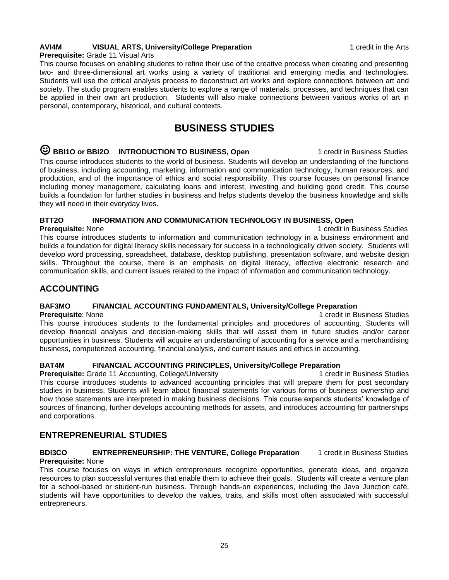### **AVI4M VISUAL ARTS, University/College Preparation** 1 credit in the Arts

#### **Prerequisite:** Grade 11 Visual Arts

This course focuses on enabling students to refine their use of the creative process when creating and presenting two- and three-dimensional art works using a variety of traditional and emerging media and technologies. Students will use the critical analysis process to deconstruct art works and explore connections between art and society. The studio program enables students to explore a range of materials, processes, and techniques that can be applied in their own art production. Students will also make connections between various works of art in personal, contemporary, historical, and cultural contexts.

# **BUSINESS STUDIES**

#### $\heartsuit$  BBI1O or BBI2O INTRODUCTION TO BUSINESS, Open 1 credit in Business Studies This course introduces students to the world of business. Students will develop an understanding of the functions of business, including accounting, marketing, information and communication technology, human resources, and production, and of the importance of ethics and social responsibility. This course focuses on personal finance including money management, calculating loans and interest, investing and building good credit. This course builds a foundation for further studies in business and helps students develop the business knowledge and skills they will need in their everyday lives.

### **BTT2O INFORMATION AND COMMUNICATION TECHNOLOGY IN BUSINESS, Open**

**Prerequisite:** None 1 credit in Business Studies This course introduces students to information and communication technology in a business environment and builds a foundation for digital literacy skills necessary for success in a technologically driven society. Students will develop word processing, spreadsheet, database, desktop publishing, presentation software, and website design skills. Throughout the course, there is an emphasis on digital literacy, effective electronic research and communication skills, and current issues related to the impact of information and communication technology.

#### **ACCOUNTING**

#### **BAF3MO FINANCIAL ACCOUNTING FUNDAMENTALS, University/College Preparation**

**Prerequisite**: None 1 credit in Business Studies This course introduces students to the fundamental principles and procedures of accounting. Students will develop financial analysis and decision-making skills that will assist them in future studies and/or career opportunities in business. Students will acquire an understanding of accounting for a service and a merchandising business, computerized accounting, financial analysis, and current issues and ethics in accounting.

#### **BAT4M FINANCIAL ACCOUNTING PRINCIPLES, University/College Preparation**

**Prerequisite:** Grade 11 Accounting, College/University 1 credit in Business Studies This course introduces students to advanced accounting principles that will prepare them for post secondary studies in business. Students will learn about financial statements for various forms of business ownership and how those statements are interpreted in making business decisions. This course expands students' knowledge of sources of financing, further develops accounting methods for assets, and introduces accounting for partnerships and corporations.

### **ENTREPRENEURIAL STUDIES**

# **BDI3CO ENTREPRENEURSHIP: THE VENTURE, College Preparation** 1 credit in Business Studies

**Prerequisite:** None

This course focuses on ways in which entrepreneurs recognize opportunities, generate ideas, and organize resources to plan successful ventures that enable them to achieve their goals. Students will create a venture plan for a school-based or student-run business. Through hands-on experiences, including the Java Junction café, students will have opportunities to develop the values, traits, and skills most often associated with successful entrepreneurs.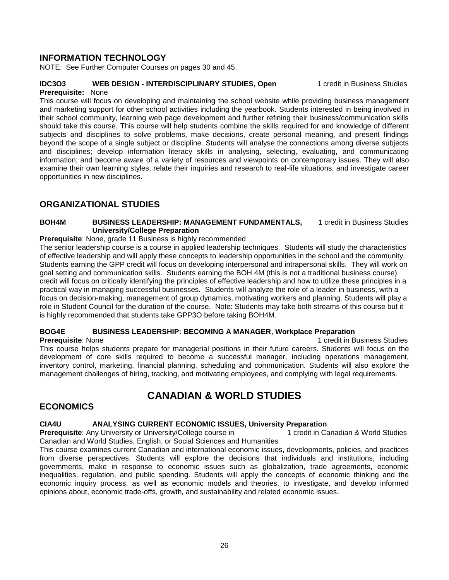### **INFORMATION TECHNOLOGY**

NOTE: See Further Computer Courses on pages 30 and 45.

### **IDC3O3 WEB DESIGN - INTERDISCIPLINARY STUDIES, Open** 1 credit in Business Studies

#### **Prerequisite:** None

This course will focus on developing and maintaining the school website while providing business management and marketing support for other school activities including the yearbook. Students interested in being involved in their school community, learning web page development and further refining their business/communication skills should take this course. This course will help students combine the skills required for and knowledge of different subjects and disciplines to solve problems, make decisions, create personal meaning, and present findings beyond the scope of a single subject or discipline. Students will analyse the connections among diverse subjects and disciplines; develop information literacy skills in analysing, selecting, evaluating, and communicating information; and become aware of a variety of resources and viewpoints on contemporary issues. They will also examine their own learning styles, relate their inquiries and research to real-life situations, and investigate career opportunities in new disciplines.

### **ORGANIZATIONAL STUDIES**

#### **BOH4M BUSINESS LEADERSHIP: MANAGEMENT FUNDAMENTALS,** 1 credit in Business Studies **University/College Preparation**

### **Prerequisite**: None, grade 11 Business is highly recommended

The senior leadership course is a course in applied leadership techniques. Students will study the characteristics of effective leadership and will apply these concepts to leadership opportunities in the school and the community. Students earning the GPP credit will focus on developing interpersonal and intrapersonal skills. They will work on goal setting and communication skills. Students earning the BOH 4M (this is not a traditional business course) credit will focus on critically identifying the principles of effective leadership and how to utilize these principles in a practical way in managing successful businesses. Students will analyze the role of a leader in business, with a focus on decision-making, management of group dynamics, motivating workers and planning. Students will play a role in Student Council for the duration of the course. Note: Students may take both streams of this course but it is highly recommended that students take GPP3O before taking BOH4M.

### **BOG4E BUSINESS LEADERSHIP: BECOMING A MANAGER**, **Workplace Preparation**

**Prerequisite**: None 1 credit in Business Studies This course helps students prepare for managerial positions in their future careers. Students will focus on the development of core skills required to become a successful manager, including operations management, inventory control, marketing, financial planning, scheduling and communication. Students will also explore the management challenges of hiring, tracking, and motivating employees, and complying with legal requirements.

# **CANADIAN & WORLD STUDIES**

### **ECONOMICS**

#### **CIA4U <b>ANALYSING CURRENT ECONOMIC ISSUES, University Preparation**

**Prerequisite**: Any University or University/College course in 1 credit in Canadian & World Studies Canadian and World Studies, English, or Social Sciences and Humanities

This course examines current Canadian and international economic issues, developments, policies, and practices from diverse perspectives. Students will explore the decisions that individuals and institutions, including governments, make in response to economic issues such as globalization, trade agreements, economic inequalities, regulation, and public spending. Students will apply the concepts of economic thinking and the economic inquiry process, as well as economic models and theories, to investigate, and develop informed opinions about, economic trade-offs, growth, and sustainability and related economic issues.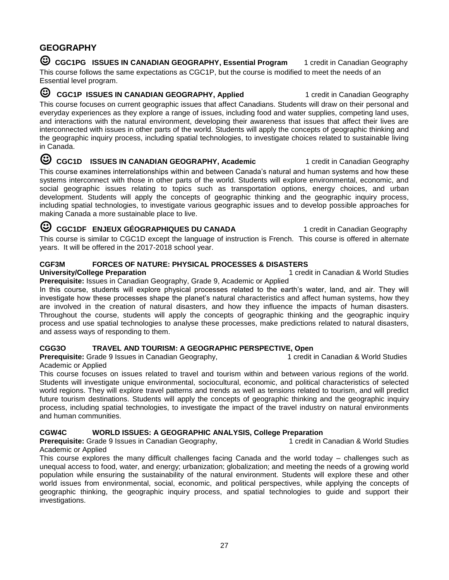### **GEOGRAPHY**

**C** CGC1PG ISSUES IN CANADIAN GEOGRAPHY, Essential Program 1 credit in Canadian Geography This course follows the same expectations as CGC1P, but the course is modified to meet the needs of an Essential level program.

**C CGC1P ISSUES IN CANADIAN GEOGRAPHY, Applied** 1 credit in Canadian Geography This course focuses on current geographic issues that affect Canadians. Students will draw on their personal and everyday experiences as they explore a range of issues, including food and water supplies, competing land uses, and interactions with the natural environment, developing their awareness that issues that affect their lives are interconnected with issues in other parts of the world. Students will apply the concepts of geographic thinking and the geographic inquiry process, including spatial technologies, to investigate choices related to sustainable living in Canada.

**C** CGC1D ISSUES IN CANADIAN GEOGRAPHY, Academic 1 credit in Canadian Geography This course examines interrelationships within and between Canada's natural and human systems and how these systems interconnect with those in other parts of the world. Students will explore environmental, economic, and social geographic issues relating to topics such as transportation options, energy choices, and urban development. Students will apply the concepts of geographic thinking and the geographic inquiry process, including spatial technologies, to investigate various geographic issues and to develop possible approaches for making Canada a more sustainable place to live.

**C** CGC1DF **ENJEUX GÉOGRAPHIQUES DU CANADA** 1 credit in Canadian Geography This course is similar to CGC1D except the language of instruction is French. This course is offered in alternate years. It will be offered in the 2017-2018 school year.

### **CGF3M FORCES OF NATURE: PHYSICAL PROCESSES & DISASTERS**

**University/College Preparation** 1 credit in Canadian & World Studies

**Prerequisite:** Issues in Canadian Geography, Grade 9, Academic or Applied

In this course, students will explore physical processes related to the earth's water, land, and air. They will investigate how these processes shape the planet's natural characteristics and affect human systems, how they are involved in the creation of natural disasters, and how they influence the impacts of human disasters. Throughout the course, students will apply the concepts of geographic thinking and the geographic inquiry process and use spatial technologies to analyse these processes, make predictions related to natural disasters, and assess ways of responding to them.

### **CGG3O TRAVEL AND TOURISM: A GEOGRAPHIC PERSPECTIVE, Open**

**Prerequisite:** Grade 9 Issues in Canadian Geography, 1 credit in Canadian & World Studies

### Academic or Applied

This course focuses on issues related to travel and tourism within and between various regions of the world. Students will investigate unique environmental, sociocultural, economic, and political characteristics of selected world regions. They will explore travel patterns and trends as well as tensions related to tourism, and will predict future tourism destinations. Students will apply the concepts of geographic thinking and the geographic inquiry process, including spatial technologies, to investigate the impact of the travel industry on natural environments and human communities.

### **CGW4C WORLD ISSUES: A GEOGRAPHIC ANALYSIS, College Preparation**

**Prerequisite:** Grade 9 Issues in Canadian Geography, 1 credit in Canadian & World Studies Academic or Applied

This course explores the many difficult challenges facing Canada and the world today – challenges such as unequal access to food, water, and energy; urbanization; globalization; and meeting the needs of a growing world population while ensuring the sustainability of the natural environment. Students will explore these and other world issues from environmental, social, economic, and political perspectives, while applying the concepts of geographic thinking, the geographic inquiry process, and spatial technologies to guide and support their investigations.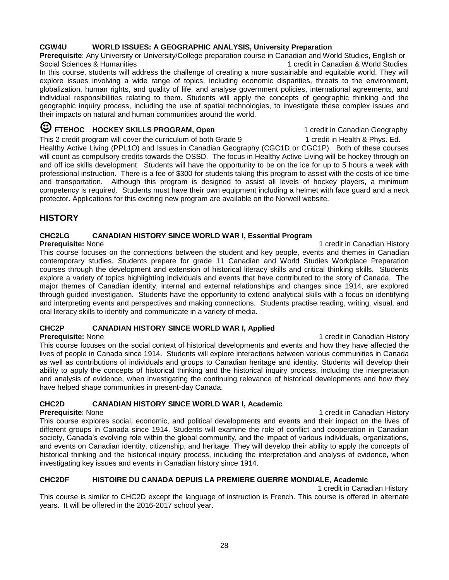### **CGW4U WORLD ISSUES: A GEOGRAPHIC ANALYSIS, University Preparation**

**Prerequisite**: Any University or University/College preparation course in Canadian and World Studies, English or Social Sciences & Humanities 1 credit in Canadian & World Studies In this course, students will address the challenge of creating a more sustainable and equitable world. They will explore issues involving a wide range of topics, including economic disparities, threats to the environment, globalization, human rights, and quality of life, and analyse government policies, international agreements, and individual responsibilities relating to them. Students will apply the concepts of geographic thinking and the geographic inquiry process, including the use of spatial technologies, to investigate these complex issues and their impacts on natural and human communities around the world.

### **C** FTEHOC HOCKEY SKILLS PROGRAM, Open 1 credit in Canadian Geography

This 2 credit program will cover the curriculum of both Grade 9 1 credit in Health & Phys. Ed. Healthy Active Living (PPL1O) and Issues in Canadian Geography (CGC1D or CGC1P). Both of these courses will count as compulsory credits towards the OSSD. The focus in Healthy Active Living will be hockey through on and off ice skills development. Students will have the opportunity to be on the ice for up to 5 hours a week with professional instruction. There is a fee of \$300 for students taking this program to assist with the costs of ice time and transportation. Although this program is designed to assist all levels of hockey players, a minimum competency is required. Students must have their own equipment including a helmet with face guard and a neck protector. Applications for this exciting new program are available on the Norwell website.

### **HISTORY**

### **CHC2LG CANADIAN HISTORY SINCE WORLD WAR I, Essential Program**

**Prerequisite:** None 1 credit in Canadian History 1 credit in Canadian History This course focuses on the connections between the student and key people, events and themes in Canadian contemporary studies. Students prepare for grade 11 Canadian and World Studies Workplace Preparation courses through the development and extension of historical literacy skills and critical thinking skills. Students explore a variety of topics highlighting individuals and events that have contributed to the story of Canada. The major themes of Canadian identity, internal and external relationships and changes since 1914, are explored through guided investigation. Students have the opportunity to extend analytical skills with a focus on identifying and interpreting events and perspectives and making connections. Students practise reading, writing, visual, and oral literacy skills to identify and communicate in a variety of media.

### **CHC2P CANADIAN HISTORY SINCE WORLD WAR I, Applied**

**Prerequisite:** None 1 credit in Canadian History 1 credit in Canadian History This course focuses on the social context of historical developments and events and how they have affected the lives of people in Canada since 1914. Students will explore interactions between various communities in Canada as well as contributions of individuals and groups to Canadian heritage and identity. Students will develop their ability to apply the concepts of historical thinking and the historical inquiry process, including the interpretation and analysis of evidence, when investigating the continuing relevance of historical developments and how they have helped shape communities in present-day Canada.

### **CHC2D CANADIAN HISTORY SINCE WORLD WAR I, Academic**

**Prerequisite**: None 1 credit in Canadian History 1 credit in Canadian History 1 credit in Canadian History This course explores social, economic, and political developments and events and their impact on the lives of different groups in Canada since 1914. Students will examine the role of conflict and cooperation in Canadian society, Canada's evolving role within the global community, and the impact of various individuals, organizations, and events on Canadian identity, citizenship, and heritage. They will develop their ability to apply the concepts of historical thinking and the historical inquiry process, including the interpretation and analysis of evidence, when investigating key issues and events in Canadian history since 1914.

### **CHC2DF HISTOIRE DU CANADA DEPUIS LA PREMIERE GUERRE MONDIALE, Academic**

1 credit in Canadian History

This course is similar to CHC2D except the language of instruction is French. This course is offered in alternate years. It will be offered in the 2016-2017 school year.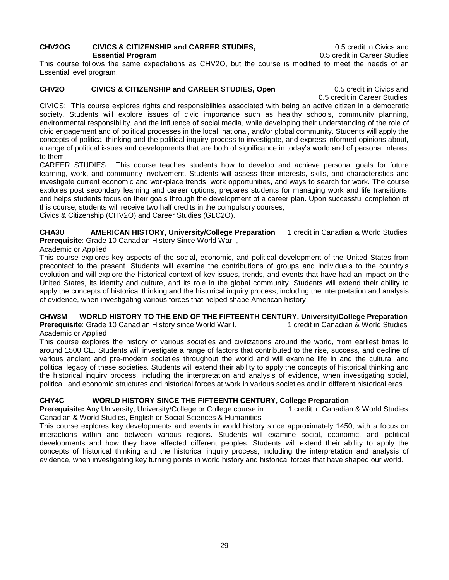#### **CHV2OG CIVICS & CITIZENSHIP and CAREER STUDIES,** 0.5 credit in Civics and **Essential Program** 0.5 credit in Career Studies

This course follows the same expectations as CHV2O, but the course is modified to meet the needs of an Essential level program.

### **CHV2O CIVICS & CITIZENSHIP and CAREER STUDIES, Open** 0.5 credit in Civics and

0.5 credit in Career Studies

CIVICS: This course explores rights and responsibilities associated with being an active citizen in a democratic society. Students will explore issues of civic importance such as healthy schools, community planning, environmental responsibility, and the influence of social media, while developing their understanding of the role of civic engagement and of political processes in the local, national, and/or global community. Students will apply the concepts of political thinking and the political inquiry process to investigate, and express informed opinions about, a range of political issues and developments that are both of significance in today's world and of personal interest to them.

CAREER STUDIES: This course teaches students how to develop and achieve personal goals for future learning, work, and community involvement. Students will assess their interests, skills, and characteristics and investigate current economic and workplace trends, work opportunities, and ways to search for work. The course explores post secondary learning and career options, prepares students for managing work and life transitions, and helps students focus on their goals through the development of a career plan. Upon successful completion of this course, students will receive two half credits in the compulsory courses,

Civics & Citizenship (CHV2O) and Career Studies (GLC2O).

**CHA3U AMERICAN HISTORY, University/College Preparation** 1 credit in Canadian & World Studies **Prerequisite**: Grade 10 Canadian History Since World War I,

### Academic or Applied

This course explores key aspects of the social, economic, and political development of the United States from precontact to the present. Students will examine the contributions of groups and individuals to the country's evolution and will explore the historical context of key issues, trends, and events that have had an impact on the United States, its identity and culture, and its role in the global community. Students will extend their ability to apply the concepts of historical thinking and the historical inquiry process, including the interpretation and analysis of evidence, when investigating various forces that helped shape American history.

#### **CHW3M WORLD HISTORY TO THE END OF THE FIFTEENTH CENTURY, University/College Preparation Prerequisite**: Grade 10 Canadian History since World War I, 1 credit in Canadian & World Studies Academic or Applied

This course explores the history of various societies and civilizations around the world, from earliest times to around 1500 CE. Students will investigate a range of factors that contributed to the rise, success, and decline of various ancient and pre-modern societies throughout the world and will examine life in and the cultural and political legacy of these societies. Students will extend their ability to apply the concepts of historical thinking and the historical inquiry process, including the interpretation and analysis of evidence, when investigating social, political, and economic structures and historical forces at work in various societies and in different historical eras.

### **CHY4C WORLD HISTORY SINCE THE FIFTEENTH CENTURY, College Preparation**

**Prerequisite:** Any University, University/College or College course in 1 credit in Canadian & World Studies Canadian & World Studies, English or Social Sciences & Humanities

This course explores key developments and events in world history since approximately 1450, with a focus on interactions within and between various regions. Students will examine social, economic, and political developments and how they have affected different peoples. Students will extend their ability to apply the concepts of historical thinking and the historical inquiry process, including the interpretation and analysis of evidence, when investigating key turning points in world history and historical forces that have shaped our world.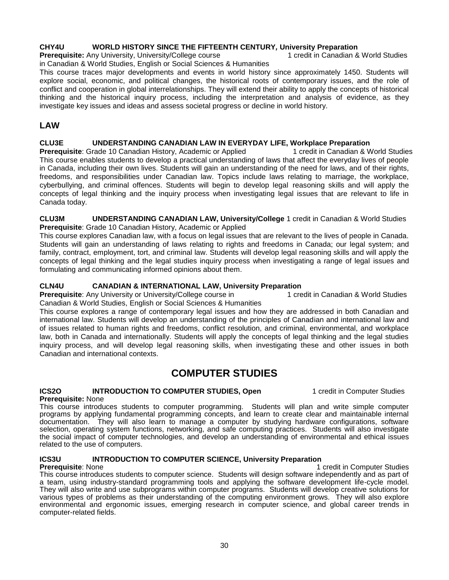#### **CHY4U WORLD HISTORY SINCE THE FIFTEENTH CENTURY***,* **University Preparation**

**Prerequisite:** Any University, University/College course 1 credit in Canadian & World Studies

in Canadian & World Studies, English or Social Sciences & Humanities This course traces major developments and events in world history since approximately 1450. Students will explore social, economic, and political changes, the historical roots of contemporary issues, and the role of conflict and cooperation in global interrelationships. They will extend their ability to apply the concepts of historical thinking and the historical inquiry process, including the interpretation and analysis of evidence, as they investigate key issues and ideas and assess societal progress or decline in world history.

### **LAW**

#### **CLU3E UNDERSTANDING CANADIAN LAW IN EVERYDAY LIFE, Workplace Preparation**

**Prerequisite**: Grade 10 Canadian History, Academic or Applied 1 credit in Canadian & World Studies This course enables students to develop a practical understanding of laws that affect the everyday lives of people in Canada, including their own lives. Students will gain an understanding of the need for laws, and of their rights, freedoms, and responsibilities under Canadian law. Topics include laws relating to marriage, the workplace, cyberbullying, and criminal offences. Students will begin to develop legal reasoning skills and will apply the concepts of legal thinking and the inquiry process when investigating legal issues that are relevant to life in Canada today.

**CLU3M UNDERSTANDING CANADIAN LAW, University/College** 1 credit in Canadian & World Studies **Prerequisite**: Grade 10 Canadian History, Academic or Applied

This course explores Canadian law, with a focus on legal issues that are relevant to the lives of people in Canada. Students will gain an understanding of laws relating to rights and freedoms in Canada; our legal system; and family, contract, employment, tort, and criminal law. Students will develop legal reasoning skills and will apply the concepts of legal thinking and the legal studies inquiry process when investigating a range of legal issues and formulating and communicating informed opinions about them.

#### **CLN4U CANADIAN & INTERNATIONAL LAW, University Preparation**

**Prerequisite**: Any University or University/College course in 1 credit in Canadian & World Studies Canadian & World Studies, English or Social Sciences & Humanities

This course explores a range of contemporary legal issues and how they are addressed in both Canadian and international law. Students will develop an understanding of the principles of Canadian and international law and of issues related to human rights and freedoms, conflict resolution, and criminal, environmental, and workplace law, both in Canada and internationally. Students will apply the concepts of legal thinking and the legal studies inquiry process, and will develop legal reasoning skills, when investigating these and other issues in both Canadian and international contexts.

## **COMPUTER STUDIES**

### **ICS2O INTRODUCTION TO COMPUTER STUDIES, Open** 1 credit in Computer Studies

**Prerequisite:** None

This course introduces students to computer programming. Students will plan and write simple computer programs by applying fundamental programming concepts, and learn to create clear and maintainable internal documentation. They will also learn to manage a computer by studying hardware configurations, software selection, operating system functions, networking, and safe computing practices. Students will also investigate the social impact of computer technologies, and develop an understanding of environmental and ethical issues related to the use of computers.

# **ICS3U INTRODUCTION TO COMPUTER SCIENCE, University Preparation**

**1 credit in Computer Studies** This course introduces students to computer science. Students will design software independently and as part of a team, using industry-standard programming tools and applying the software development life-cycle model. They will also write and use subprograms within computer programs. Students will develop creative solutions for various types of problems as their understanding of the computing environment grows. They will also explore environmental and ergonomic issues, emerging research in computer science, and global career trends in computer-related fields.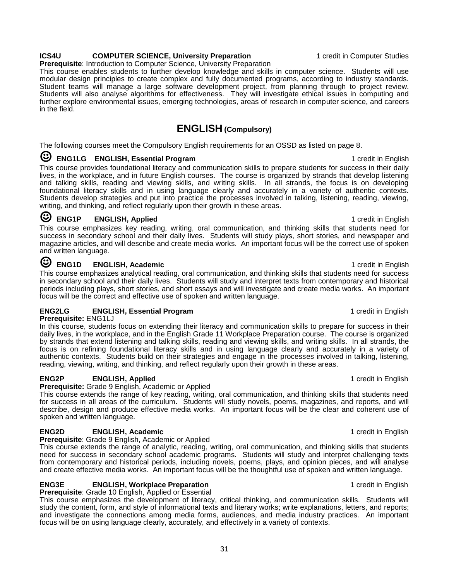### **ICS4U COMPUTER SCIENCE, University Preparation 1** credit in Computer Studies

**Prerequisite**: Introduction to Computer Science, University Preparation

This course enables students to further develop knowledge and skills in computer science. Students will use modular design principles to create complex and fully documented programs, according to industry standards. Student teams will manage a large software development project, from planning through to project review. Students will also analyse algorithms for effectiveness. They will investigate ethical issues in computing and further explore environmental issues, emerging technologies, areas of research in computer science, and careers in the field.

### **ENGLISH (Compulsory)**

The following courses meet the Compulsory English requirements for an OSSD as listed on page 8.

### ☺ **ENG1LG ENGLISH, Essential Program** 1 credit in English

This course provides foundational literacy and communication skills to prepare students for success in their daily lives, in the workplace, and in future English courses. The course is organized by strands that develop listening and talking skills, reading and viewing skills, and writing skills. In all strands, the focus is on developing foundational literacy skills and in using language clearly and accurately in a variety of authentic contexts. Students develop strategies and put into practice the processes involved in talking, listening, reading, viewing, writing, and thinking, and reflect regularly upon their growth in these areas.

# ☺ **ENG1P ENGLISH, Applied** 1 credit in English

This course emphasizes key reading, writing, oral communication, and thinking skills that students need for success in secondary school and their daily lives. Students will study plays, short stories, and newspaper and magazine articles, and will describe and create media works. An important focus will be the correct use of spoken and written language.

# **ENG1D** ENGLISH, Academic **ENGLISH, Academic** 1 credit in English

This course emphasizes analytical reading, oral communication, and thinking skills that students need for success in secondary school and their daily lives. Students will study and interpret texts from contemporary and historical periods including plays, short stories, and short essays and will investigate and create media works. An important focus will be the correct and effective use of spoken and written language.

### **ENG2LG ENGLISH, Essential Program** 1 **CONSTRANGER 1 CONSTRANGER 1** credit in English

**Prerequisite:** ENG1LJ

In this course, students focus on extending their literacy and communication skills to prepare for success in their daily lives, in the workplace, and in the English Grade 11 Workplace Preparation course. The course is organized by strands that extend listening and talking skills, reading and viewing skills, and writing skills. In all strands, the focus is on refining foundational literacy skills and in using language clearly and accurately in a variety of authentic contexts. Students build on their strategies and engage in the processes involved in talking, listening, reading, viewing, writing, and thinking, and reflect regularly upon their growth in these areas.

### **ENG2P ENGLISH, Applied** 1 credit in English

**Prerequisite:** Grade 9 English, Academic or Applied

This course extends the range of key reading, writing, oral communication, and thinking skills that students need for success in all areas of the curriculum. Students will study novels, poems, magazines, and reports, and will describe, design and produce effective media works. An important focus will be the clear and coherent use of spoken and written language.

### **ENG2D ENGLISH, Academic ENGLISH, Academic 1 English** 1 credit in English

**Prerequisite**: Grade 9 English, Academic or Applied

This course extends the range of analytic, reading, writing, oral communication, and thinking skills that students need for success in secondary school academic programs. Students will study and interpret challenging texts from contemporary and historical periods, including novels, poems, plays, and opinion pieces, and will analyse and create effective media works. An important focus will be the thoughtful use of spoken and written language.

### **ENG3E ENGLISH, Workplace Preparation 1 English** 1 credit in English

**Prerequisite**: Grade 10 English, Applied or Essential This course emphasizes the development of literacy, critical thinking, and communication skills. Students will study the content, form, and style of informational texts and literary works; write explanations, letters, and reports; and investigate the connections among media forms, audiences, and media industry practices. An important focus will be on using language clearly, accurately, and effectively in a variety of contexts.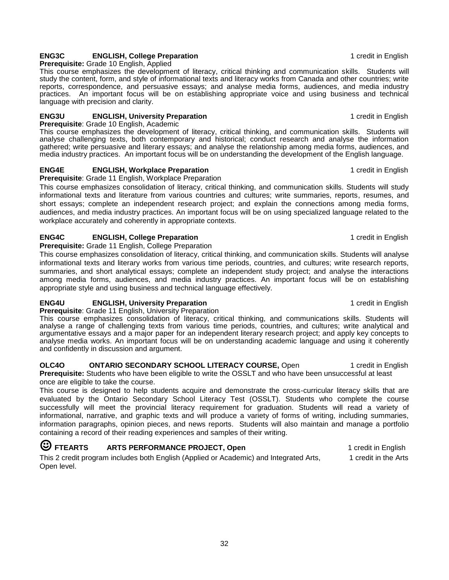### **ENG3C ENGLISH, College Preparation 1 English** 1 credit in English

**Prerequisite:** Grade 10 English, Applied

This course emphasizes the development of literacy, critical thinking and communication skills. Students will study the content, form, and style of informational texts and literacy works from Canada and other countries; write reports, correspondence, and persuasive essays; and analyse media forms, audiences, and media industry practices. An important focus will be on establishing appropriate voice and using business and technical language with precision and clarity.

### **ENG3U ENGLISH, University Preparation** 1 **CONSUMING 2008 1** credit in English

**Prerequisite**: Grade 10 English, Academic

This course emphasizes the development of literacy, critical thinking, and communication skills. Students will analyse challenging texts, both contemporary and historical; conduct research and analyse the information gathered; write persuasive and literary essays; and analyse the relationship among media forms, audiences, and media industry practices. An important focus will be on understanding the development of the English language.

### **ENG4E ENGLISH, Workplace Preparation 1 English** 1 credit in English

**Prerequisite**: Grade 11 English, Workplace Preparation

This course emphasizes consolidation of literacy, critical thinking, and communication skills. Students will study informational texts and literature from various countries and cultures; write summaries, reports, resumes, and short essays; complete an independent research project; and explain the connections among media forms, audiences, and media industry practices. An important focus will be on using specialized language related to the workplace accurately and coherently in appropriate contexts.

#### **ENG4C ENGLISH, College Preparation 1 COLLEGE 1 English** 1 **credit in English**

**Prerequisite:** Grade 11 English, College Preparation

This course emphasizes consolidation of literacy, critical thinking, and communication skills. Students will analyse informational texts and literary works from various time periods, countries, and cultures; write research reports, summaries, and short analytical essays; complete an independent study project; and analyse the interactions among media forms, audiences, and media industry practices. An important focus will be on establishing appropriate style and using business and technical language effectively.

### **ENG4U ENGLISH, University Preparation** 1 **CONSUMING 2008 1** credit in English

**Prerequisite**: Grade 11 English, University Preparation This course emphasizes consolidation of literacy, critical thinking, and communications skills. Students will analyse a range of challenging texts from various time periods, countries, and cultures; write analytical and argumentative essays and a major paper for an independent literary research project; and apply key concepts to analyse media works. An important focus will be on understanding academic language and using it coherently and confidently in discussion and argument.

**OLC4O** ONTARIO SECONDARY SCHOOL LITERACY COURSE, Open 1 credit in English **Prerequisite:** Students who have been eligible to write the OSSLT and who have been unsuccessful at least once are eligible to take the course.

This course is designed to help students acquire and demonstrate the cross-curricular literacy skills that are evaluated by the Ontario Secondary School Literacy Test (OSSLT). Students who complete the course successfully will meet the provincial literacy requirement for graduation. Students will read a variety of informational, narrative, and graphic texts and will produce a variety of forms of writing, including summaries, information paragraphs, opinion pieces, and news reports. Students will also maintain and manage a portfolio containing a record of their reading experiences and samples of their writing.

### ☺ **FTEARTS ARTS PERFORMANCE PROJECT, Open** 1 credit in English

This 2 credit program includes both English (Applied or Academic) and Integrated Arts, 1 credit in the Arts Open level.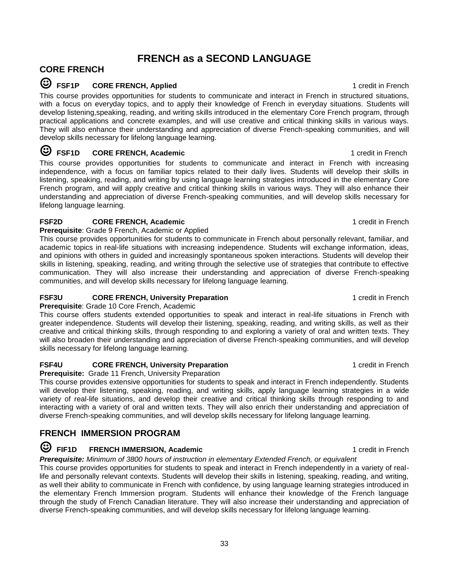# **FRENCH as a SECOND LANGUAGE**

### **CORE FRENCH**

### ☺ **FSF1P CORE FRENCH, Applied** 1 credit in French

This course provides opportunities for students to communicate and interact in French in structured situations, with a focus on everyday topics, and to apply their knowledge of French in everyday situations. Students will develop listening,speaking, reading, and writing skills introduced in the elementary Core French program, through practical applications and concrete examples, and will use creative and critical thinking skills in various ways. They will also enhance their understanding and appreciation of diverse French-speaking communities, and will develop skills necessary for lifelong language learning.

### ☺ **FSF1D CORE FRENCH, Academic** 1 credit in French

This course provides opportunities for students to communicate and interact in French with increasing independence, with a focus on familiar topics related to their daily lives. Students will develop their skills in listening, speaking, reading, and writing by using language learning strategies introduced in the elementary Core French program, and will apply creative and critical thinking skills in various ways. They will also enhance their understanding and appreciation of diverse French-speaking communities, and will develop skills necessary for lifelong language learning.

### **FSF2D CORE FRENCH, Academic CORE 1 credit in French**

**Prerequisite**: Grade 9 French, Academic or Applied This course provides opportunities for students to communicate in French about personally relevant, familiar, and academic topics in real-life situations with increasing independence. Students will exchange information, ideas, and opinions with others in guided and increasingly spontaneous spoken interactions. Students will develop their skills in listening, speaking, reading, and writing through the selective use of strategies that contribute to effective communication. They will also increase their understanding and appreciation of diverse French-speaking communities, and will develop skills necessary for lifelong language learning.

### **FSF3U CORE FRENCH, University Preparation** 1 **CORE FRENCH, University Preparation** 1 **CORE FRENCH**

**Prerequisite**: Grade 10 Core French, Academic

This course offers students extended opportunities to speak and interact in real-life situations in French with greater independence. Students will develop their listening, speaking, reading, and writing skills, as well as their creative and critical thinking skills, through responding to and exploring a variety of oral and written texts. They will also broaden their understanding and appreciation of diverse French-speaking communities, and will develop skills necessary for lifelong language learning.

### **FSF4U CORE FRENCH, University Preparation** 1 credit in French

**Prerequisite:** Grade 11 French, University Preparation

This course provides extensive opportunities for students to speak and interact in French independently. Students will develop their listening, speaking, reading, and writing skills, apply language learning strategies in a wide variety of real-life situations, and develop their creative and critical thinking skills through responding to and interacting with a variety of oral and written texts. They will also enrich their understanding and appreciation of diverse French-speaking communities, and will develop skills necessary for lifelong language learning.

### **FRENCH IMMERSION PROGRAM**

## ☺ **FIF1D FRENCH IMMERSION, Academic** 1 credit in French

*Prerequisite: Minimum of 3800 hours of instruction in elementary Extended French, or equivalent* 

This course provides opportunities for students to speak and interact in French independently in a variety of reallife and personally relevant contexts. Students will develop their skills in listening, speaking, reading, and writing, as well their ability to communicate in French with confidence, by using language learning strategies introduced in the elementary French Immersion program. Students will enhance their knowledge of the French language through the study of French Canadian literature. They will also increase their understanding and appreciation of diverse French-speaking communities, and will develop skills necessary for lifelong language learning.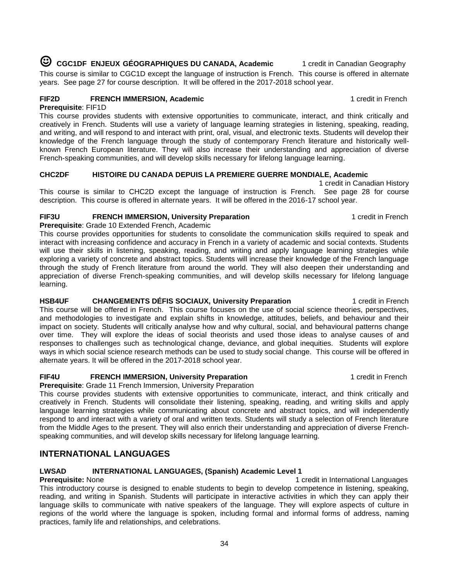☺ **CGC1DF ENJEUX GÉOGRAPHIQUES DU CANADA, Academic** 1 credit in Canadian Geography This course is similar to CGC1D except the language of instruction is French. This course is offered in alternate years. See page 27 for course description. It will be offered in the 2017-2018 school year.

### **FIF2D FRENCH IMMERSION, Academic** 1 credit in French

**Prerequisite**: FIF1D

This course provides students with extensive opportunities to communicate, interact, and think critically and creatively in French. Students will use a variety of language learning strategies in listening, speaking, reading, and writing, and will respond to and interact with print, oral, visual, and electronic texts. Students will develop their knowledge of the French language through the study of contemporary French literature and historically wellknown French European literature. They will also increase their understanding and appreciation of diverse French-speaking communities, and will develop skills necessary for lifelong language learning.

### **CHC2DF HISTOIRE DU CANADA DEPUIS LA PREMIERE GUERRE MONDIALE, Academic**

 1 credit in Canadian History This course is similar to CHC2D except the language of instruction is French. See page 28 for course description. This course is offered in alternate years. It will be offered in the 2016-17 school year.

### **FIF3U FRENCH IMMERSION, University Preparation** 1 credit in French

**Prerequisite**: Grade 10 Extended French, Academic

This course provides opportunities for students to consolidate the communication skills required to speak and interact with increasing confidence and accuracy in French in a variety of academic and social contexts. Students will use their skills in listening, speaking, reading, and writing and apply language learning strategies while exploring a variety of concrete and abstract topics. Students will increase their knowledge of the French language through the study of French literature from around the world. They will also deepen their understanding and appreciation of diverse French-speaking communities, and will develop skills necessary for lifelong language learning.

### **HSB4UF CHANGEMENTS DÉFIS SOCIAUX, University Preparation <b>1** credit in French

This course will be offered in French. This course focuses on the use of social science theories, perspectives, and methodologies to investigate and explain shifts in knowledge, attitudes, beliefs, and behaviour and their impact on society. Students will critically analyse how and why cultural, social, and behavioural patterns change over time. They will explore the ideas of social theorists and used those ideas to analyse causes of and responses to challenges such as technological change, deviance, and global inequities. Students will explore ways in which social science research methods can be used to study social change. This course will be offered in alternate years. It will be offered in the 2017-2018 school year.

### **FIF4U FRENCH IMMERSION, University Preparation** 1 credit in French

**Prerequisite**: Grade 11 French Immersion, University Preparation

This course provides students with extensive opportunities to communicate, interact, and think critically and creatively in French. Students will consolidate their listening, speaking, reading, and writing skills and apply language learning strategies while communicating about concrete and abstract topics, and will independently respond to and interact with a variety of oral and written texts. Students will study a selection of French literature from the Middle Ages to the present. They will also enrich their understanding and appreciation of diverse Frenchspeaking communities, and will develop skills necessary for lifelong language learning.

# **INTERNATIONAL LANGUAGES**

### **LWSAD INTERNATIONAL LANGUAGES, (Spanish) Academic Level 1**

**Prerequisite:** None 1 credit in International Languages 1 credit in International Languages This introductory course is designed to enable students to begin to develop competence in listening, speaking, reading, and writing in Spanish. Students will participate in interactive activities in which they can apply their language skills to communicate with native speakers of the language. They will explore aspects of culture in regions of the world where the language is spoken, including formal and informal forms of address, naming practices, family life and relationships, and celebrations.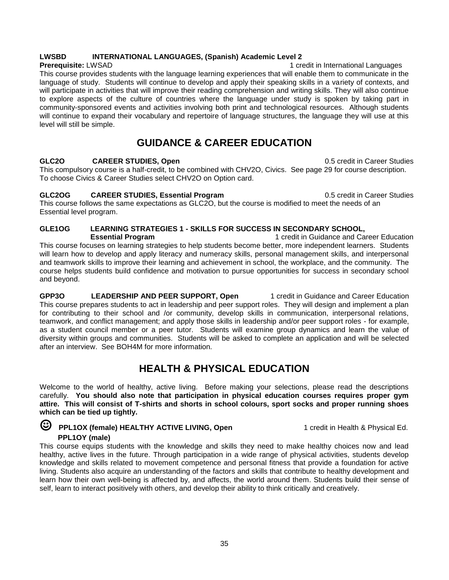### **LWSBD INTERNATIONAL LANGUAGES, (Spanish) Academic Level 2**

**Prerequisite:** LWSAD 1 credit in International Languages This course provides students with the language learning experiences that will enable them to communicate in the language of study. Students will continue to develop and apply their speaking skills in a variety of contexts, and will participate in activities that will improve their reading comprehension and writing skills. They will also continue to explore aspects of the culture of countries where the language under study is spoken by taking part in community-sponsored events and activities involving both print and technological resources. Although students will continue to expand their vocabulary and repertoire of language structures, the language they will use at this level will still be simple.

# **GUIDANCE & CAREER EDUCATION**

### **GLC2O CAREER STUDIES, Open** 0.5 credit in Career Studies

This compulsory course is a half-credit, to be combined with CHV2O, Civics. See page 29 for course description. To choose Civics & Career Studies select CHV2O on Option card.

#### **GLC2OG CAREER STUDIES, Essential Program** 0.5 credit in Career Studies

This course follows the same expectations as GLC2O, but the course is modified to meet the needs of an Essential level program.

### **GLE1OG LEARNING STRATEGIES 1 - SKILLS FOR SUCCESS IN SECONDARY SCHOOL,**

 **Essential Program** 1 credit in Guidance and Career Education This course focuses on learning strategies to help students become better, more independent learners. Students will learn how to develop and apply literacy and numeracy skills, personal management skills, and interpersonal and teamwork skills to improve their learning and achievement in school, the workplace, and the community. The course helps students build confidence and motivation to pursue opportunities for success in secondary school and beyond.

**GPP3O LEADERSHIP AND PEER SUPPORT, Open** 1 credit in Guidance and Career Education This course prepares students to act in leadership and peer support roles. They will design and implement a plan for contributing to their school and /or community, develop skills in communication, interpersonal relations, teamwork, and conflict management; and apply those skills in leadership and/or peer support roles - for example, as a student council member or a peer tutor. Students will examine group dynamics and learn the value of diversity within groups and communities. Students will be asked to complete an application and will be selected after an interview. See BOH4M for more information.

# **HEALTH & PHYSICAL EDUCATION**

Welcome to the world of healthy, active living. Before making your selections, please read the descriptions carefully. **You should also note that participation in physical education courses requires proper gym attire. This will consist of T-shirts and shorts in school colours, sport socks and proper running shoes which can be tied up tightly.**

### **E** PPL1OX (female) HEALTHY ACTIVE LIVING, Open 1 credit in Health & Physical Ed.  **PPL1OY (male)**

This course equips students with the knowledge and skills they need to make healthy choices now and lead healthy, active lives in the future. Through participation in a wide range of physical activities, students develop knowledge and skills related to movement competence and personal fitness that provide a foundation for active living. Students also acquire an understanding of the factors and skills that contribute to healthy development and learn how their own well-being is affected by, and affects, the world around them. Students build their sense of self, learn to interact positively with others, and develop their ability to think critically and creatively.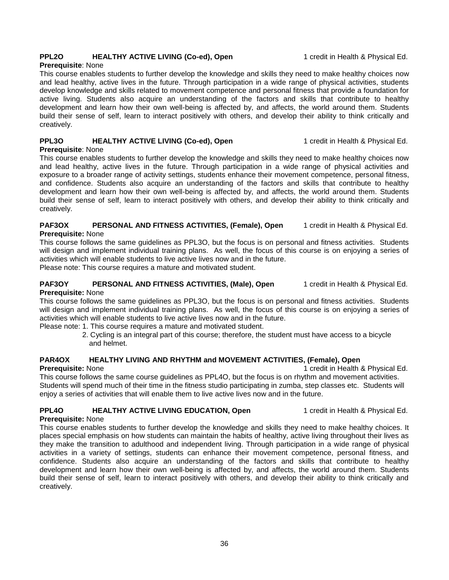### **PPL2O HEALTHY ACTIVE LIVING (Co-ed), Open** 1 credit in Health & Physical Ed.

#### **Prerequisite**: None

This course enables students to further develop the knowledge and skills they need to make healthy choices now and lead healthy, active lives in the future. Through participation in a wide range of physical activities, students develop knowledge and skills related to movement competence and personal fitness that provide a foundation for active living. Students also acquire an understanding of the factors and skills that contribute to healthy development and learn how their own well-being is affected by, and affects, the world around them. Students build their sense of self, learn to interact positively with others, and develop their ability to think critically and creatively.

### **PPL3O HEALTHY ACTIVE LIVING (Co-ed), Open** 1 credit in Health & Physical Ed.

**Prerequisite**: None

This course enables students to further develop the knowledge and skills they need to make healthy choices now and lead healthy, active lives in the future. Through participation in a wide range of physical activities and exposure to a broader range of activity settings, students enhance their movement competence, personal fitness, and confidence. Students also acquire an understanding of the factors and skills that contribute to healthy development and learn how their own well-being is affected by, and affects, the world around them. Students build their sense of self, learn to interact positively with others, and develop their ability to think critically and creatively.

#### **PAF3OX PERSONAL AND FITNESS ACTIVITIES, (Female), Open** 1 credit in Health & Physical Ed. **Prerequisite:** None

This course follows the same guidelines as PPL3O, but the focus is on personal and fitness activities. Students will design and implement individual training plans. As well, the focus of this course is on enjoying a series of activities which will enable students to live active lives now and in the future.

Please note: This course requires a mature and motivated student.

### **PAF3OY PERSONAL AND FITNESS ACTIVITIES, (Male), Open** 1 credit in Health & Physical Ed.

### **Prerequisite:** None

This course follows the same guidelines as PPL3O, but the focus is on personal and fitness activities. Students will design and implement individual training plans. As well, the focus of this course is on enjoying a series of activities which will enable students to live active lives now and in the future.

Please note: 1. This course requires a mature and motivated student.

 2. Cycling is an integral part of this course; therefore, the student must have access to a bicycle and helmet.

### **PAR4OX HEALTHY LIVING AND RHYTHM and MOVEMENT ACTIVITIES, (Female), Open**

**Prerequisite:** None 1 credit in Health & Physical Ed.

This course follows the same course guidelines as PPL4O, but the focus is on rhythm and movement activities. Students will spend much of their time in the fitness studio participating in zumba, step classes etc. Students will enjoy a series of activities that will enable them to live active lives now and in the future.

### **PPL4O HEALTHY ACTIVE LIVING EDUCATION, Open** 1 credit in Health & Physical Ed.

**Prerequisite:** None

This course enables students to further develop the knowledge and skills they need to make healthy choices. It places special emphasis on how students can maintain the habits of healthy, active living throughout their lives as they make the transition to adulthood and independent living. Through participation in a wide range of physical activities in a variety of settings, students can enhance their movement competence, personal fitness, and confidence. Students also acquire an understanding of the factors and skills that contribute to healthy development and learn how their own well-being is affected by, and affects, the world around them. Students build their sense of self, learn to interact positively with others, and develop their ability to think critically and creatively.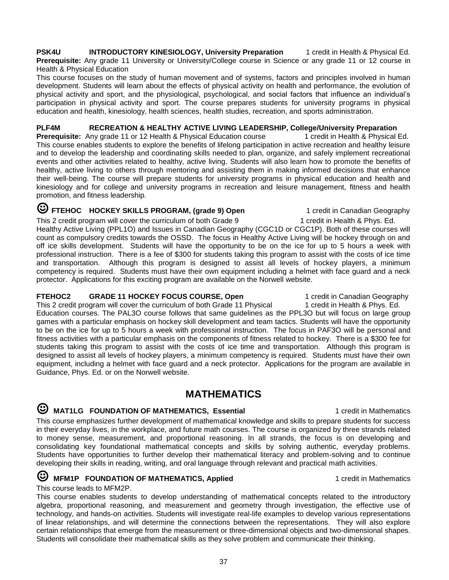**PSK4U INTRODUCTORY KINESIOLOGY, University Preparation** 1 credit in Health & Physical Ed. **Prerequisite:** Any grade 11 University or University/College course in Science or any grade 11 or 12 course in Health & Physical Education

This course focuses on the study of human movement and of systems, factors and principles involved in human development. Students will learn about the effects of physical activity on health and performance, the evolution of physical activity and sport, and the physiological, psychological, and social factors that influence an individual's participation in physical activity and sport. The course prepares students for university programs in physical education and health, kinesiology, health sciences, health studies, recreation, and sports administration.

# **PLF4M RECREATION & HEALTHY ACTIVE LIVING LEADERSHIP, College/University Preparation**

**Prerequisite:** Any grade 11 or 12 Health & Physical Education course This course enables students to explore the benefits of lifelong participation in active recreation and healthy leisure and to develop the leadership and coordinating skills needed to plan, organize, and safely implement recreational events and other activities related to healthy, active living. Students will also learn how to promote the benefits of healthy, active living to others through mentoring and assisting them in making informed decisions that enhance their well-being. The course will prepare students for university programs in physical education and health and kinesiology and for college and university programs in recreation and leisure management, fitness and health promotion, and fitness leadership.

# **E** FTEHOC HOCKEY SKILLS PROGRAM, (grade 9) Open 1 credit in Canadian Geography

This 2 credit program will cover the curriculum of both Grade 9 1 1 credit in Health & Phys. Ed. Healthy Active Living (PPL1O) and Issues in Canadian Geography (CGC1D or CGC1P). Both of these courses will count as compulsory credits towards the OSSD. The focus in Healthy Active Living will be hockey through on and off ice skills development. Students will have the opportunity to be on the ice for up to 5 hours a week with professional instruction. There is a fee of \$300 for students taking this program to assist with the costs of ice time and transportation. Although this program is designed to assist all levels of hockey players, a minimum competency is required. Students must have their own equipment including a helmet with face guard and a neck protector. Applications for this exciting program are available on the Norwell website.

#### **FTEHOC2 GRADE 11 HOCKEY FOCUS COURSE, Open** 1 credit in Canadian Geography

This 2 credit program will cover the curriculum of both Grade 11 Physical 1 credit in Health & Phys. Ed. Education courses. The PAL3O course follows that same guidelines as the PPL3O but will focus on large group games with a particular emphasis on hockey skill development and team tactics. Students will have the opportunity to be on the ice for up to 5 hours a week with professional instruction. The focus in PAF3O will be personal and fitness activities with a particular emphasis on the components of fitness related to hockey. There is a \$300 fee for students taking this program to assist with the costs of ice time and transportation. Although this program is designed to assist all levels of hockey players, a minimum competency is required. Students must have their own equipment, including a helmet with face guard and a neck protector. Applications for the program are available in Guidance, Phys. Ed. or on the Norwell website.

## **MATHEMATICS**

## **E** MAT1LG FOUNDATION OF MATHEMATICS, Essential 1 credit in Mathematics

This course emphasizes further development of mathematical knowledge and skills to prepare students for success in their everyday lives, in the workplace, and future math courses. The course is organized by three strands related to money sense, measurement, and proportional reasoning. In all strands, the focus is on developing and consolidating key foundational mathematical concepts and skills by solving authentic, everyday problems. Students have opportunities to further develop their mathematical literacy and problem-solving and to continue developing their skills in reading, writing, and oral language through relevant and practical math activities.

### **EXECUTER MATHEMATICS, Applied** 1 credit in Mathematics

This course leads to MFM2P.

This course enables students to develop understanding of mathematical concepts related to the introductory algebra, proportional reasoning, and measurement and geometry through investigation, the effective use of technology, and hands-on activities. Students will investigate real-life examples to develop various representations of linear relationships, and will determine the connections between the representations. They will also explore certain relationships that emerge from the measurement or three-dimensional objects and two-dimensional shapes. Students will consolidate their mathematical skills as they solve problem and communicate their thinking.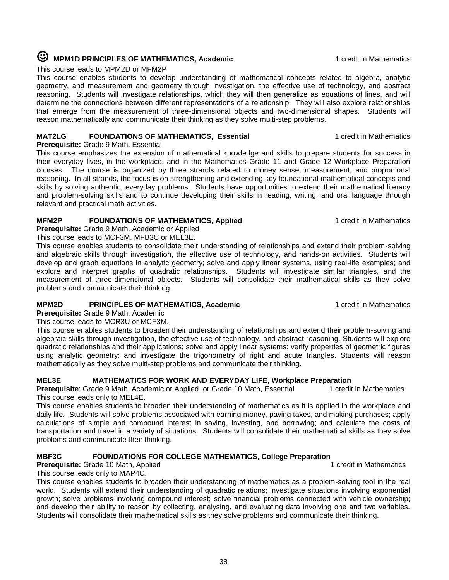# **E MPM1D** PRINCIPLES OF MATHEMATICS, Academic 1 credit in Mathematics

This course leads to MPM2D or MFM2P

This course enables students to develop understanding of mathematical concepts related to algebra, analytic geometry, and measurement and geometry through investigation, the effective use of technology, and abstract reasoning. Students will investigate relationships, which they will then generalize as equations of lines, and will determine the connections between different representations of a relationship. They will also explore relationships that emerge from the measurement of three-dimensional objects and two-dimensional shapes. Students will reason mathematically and communicate their thinking as they solve multi-step problems.

### **MAT2LG FOUNDATIONS OF MATHEMATICS, Essential** 1 **Construction 1** credit in Mathematics

**Prerequisite:** Grade 9 Math, Essential

This course emphasizes the extension of mathematical knowledge and skills to prepare students for success in their everyday lives, in the workplace, and in the Mathematics Grade 11 and Grade 12 Workplace Preparation courses. The course is organized by three strands related to money sense, measurement, and proportional reasoning. In all strands, the focus is on strengthening and extending key foundational mathematical concepts and skills by solving authentic, everyday problems. Students have opportunities to extend their mathematical literacy and problem-solving skills and to continue developing their skills in reading, writing, and oral language through relevant and practical math activities.

### **MFM2P FOUNDATIONS OF MATHEMATICS, Applied** 1 **1** credit in Mathematics

**Prerequisite:** Grade 9 Math, Academic or Applied This course leads to MCF3M, MFB3C or MEL3E.

This course enables students to consolidate their understanding of relationships and extend their problem-solving and algebraic skills through investigation, the effective use of technology, and hands-on activities. Students will develop and graph equations in analytic geometry; solve and apply linear systems, using real-life examples; and explore and interpret graphs of quadratic relationships. Students will investigate similar triangles, and the measurement of three-dimensional objects. Students will consolidate their mathematical skills as they solve problems and communicate their thinking.

### **MPM2D PRINCIPLES OF MATHEMATICS, Academic 1 credit in Mathematics**

**Prerequisite:** Grade 9 Math, Academic

This course leads to MCR3U or MCF3M. This course enables students to broaden their understanding of relationships and extend their problem-solving and algebraic skills through investigation, the effective use of technology, and abstract reasoning. Students will explore quadratic relationships and their applications; solve and apply linear systems; verify properties of geometric figures using analytic geometry; and investigate the trigonometry of right and acute triangles. Students will reason mathematically as they solve multi-step problems and communicate their thinking.

### **MEL3E MATHEMATICS FOR WORK AND EVERYDAY LIFE, Workplace Preparation**

**Prerequisite**: Grade 9 Math, Academic or Applied, or Grade 10 Math, Essential 1 credit in Mathematics This course leads only to MEL4E.

This course enables students to broaden their understanding of mathematics as it is applied in the workplace and daily life. Students will solve problems associated with earning money, paying taxes, and making purchases; apply calculations of simple and compound interest in saving, investing, and borrowing; and calculate the costs of transportation and travel in a variety of situations. Students will consolidate their mathematical skills as they solve problems and communicate their thinking.

# **MBF3C FOUNDATIONS FOR COLLEGE MATHEMATICS, College Preparation**

**Prerequisite:** Grade 10 Math, Applied This course leads only to MAP4C.

This course enables students to broaden their understanding of mathematics as a problem-solving tool in the real world. Students will extend their understanding of quadratic relations; investigate situations involving exponential growth; solve problems involving compound interest; solve financial problems connected with vehicle ownership; and develop their ability to reason by collecting, analysing, and evaluating data involving one and two variables. Students will consolidate their mathematical skills as they solve problems and communicate their thinking.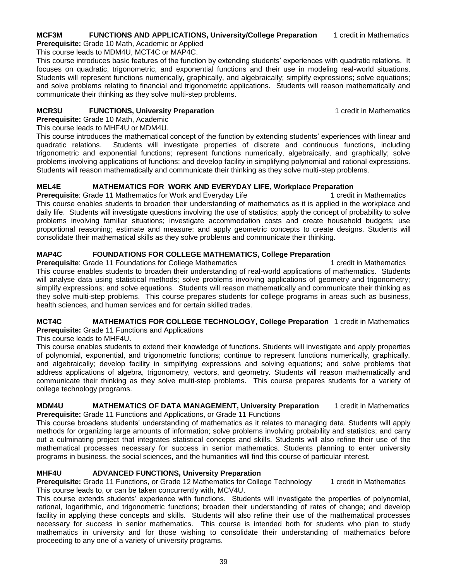#### **MCF3M FUNCTIONS AND APPLICATIONS, University/College Preparation** 1 credit in Mathematics **Prerequisite:** Grade 10 Math, Academic or Applied

This course leads to MDM4U, MCT4C or MAP4C.

This course introduces basic features of the function by extending students' experiences with quadratic relations. It focuses on quadratic, trigonometric, and exponential functions and their use in modeling real-world situations. Students will represent functions numerically, graphically, and algebraically; simplify expressions; solve equations; and solve problems relating to financial and trigonometric applications. Students will reason mathematically and communicate their thinking as they solve multi-step problems.

### **MCR3U FUNCTIONS, University Preparation** 1 **CONSUMPTER 1** credit in Mathematics

**Prerequisite:** Grade 10 Math, Academic This course leads to MHF4U or MDM4U.

This course introduces the mathematical concept of the function by extending students' experiences with linear and quadratic relations. Students will investigate properties of discrete and continuous functions, including trigonometric and exponential functions; represent functions numerically, algebraically, and graphically; solve problems involving applications of functions; and develop facility in simplifying polynomial and rational expressions. Students will reason mathematically and communicate their thinking as they solve multi-step problems.

### **MEL4E MATHEMATICS FOR WORK AND EVERYDAY LIFE, Workplace Preparation**

**Prerequisite:** Grade 11 Mathematics for Work and Everyday Life 1 1 credit in Mathematics This course enables students to broaden their understanding of mathematics as it is applied in the workplace and daily life. Students will investigate questions involving the use of statistics; apply the concept of probability to solve problems involving familiar situations; investigate accommodation costs and create household budgets; use proportional reasoning; estimate and measure; and apply geometric concepts to create designs. Students will consolidate their mathematical skills as they solve problems and communicate their thinking.

### **MAP4C FOUNDATIONS FOR COLLEGE MATHEMATICS, College Preparation**

**Prerequisite**: Grade 11 Foundations for College Mathematics 1 credit in Mathematics 1 credit in Mathematics This course enables students to broaden their understanding of real-world applications of mathematics. Students will analyse data using statistical methods; solve problems involving applications of geometry and trigonometry; simplify expressions; and solve equations. Students will reason mathematically and communicate their thinking as they solve multi-step problems. This course prepares students for college programs in areas such as business, health sciences, and human services and for certain skilled trades.

# **MCT4C MATHEMATICS FOR COLLEGE TECHNOLOGY, College Preparation** 1 credit in Mathematics

**Prerequisite:** Grade 11 Functions and Applications

This course leads to MHF4U.

This course enables students to extend their knowledge of functions. Students will investigate and apply properties of polynomial, exponential, and trigonometric functions; continue to represent functions numerically, graphically, and algebraically; develop facility in simplifying expressions and solving equations; and solve problems that address applications of algebra, trigonometry, vectors, and geometry. Students will reason mathematically and communicate their thinking as they solve multi-step problems. This course prepares students for a variety of college technology programs.

**MDM4U MATHEMATICS OF DATA MANAGEMENT, University Preparation** 1 credit in Mathematics **Prerequisite:** Grade 11 Functions and Applications, or Grade 11 Functions

This course broadens students' understanding of mathematics as it relates to managing data. Students will apply methods for organizing large amounts of information; solve problems involving probability and statistics; and carry out a culminating project that integrates statistical concepts and skills. Students will also refine their use of the mathematical processes necessary for success in senior mathematics. Students planning to enter university programs in business, the social sciences, and the humanities will find this course of particular interest.

### **MHF4U ADVANCED FUNCTIONS, University Preparation**

**Prerequisite:** Grade 11 Functions, or Grade 12 Mathematics for College Technology 1 credit in Mathematics This course leads to, or can be taken concurrently with, MCV4U.

This course extends students' experience with functions. Students will investigate the properties of polynomial, rational, logarithmic, and trigonometric functions; broaden their understanding of rates of change; and develop facility in applying these concepts and skills. Students will also refine their use of the mathematical processes necessary for success in senior mathematics. This course is intended both for students who plan to study mathematics in university and for those wishing to consolidate their understanding of mathematics before proceeding to any one of a variety of university programs.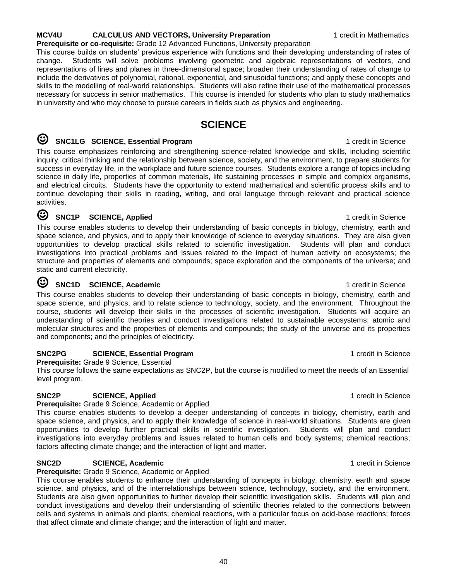## **MCV4U CALCULUS AND VECTORS, University Preparation** 1 credit in Mathematics

**Prerequisite or co-requisite:** Grade 12 Advanced Functions, University preparation This course builds on students' previous experience with functions and their developing understanding of rates of change. Students will solve problems involving geometric and algebraic representations of vectors, and representations of lines and planes in three-dimensional space; broaden their understanding of rates of change to include the derivatives of polynomial, rational, exponential, and sinusoidal functions; and apply these concepts and skills to the modelling of real-world relationships. Students will also refine their use of the mathematical processes necessary for success in senior mathematics. This course is intended for students who plan to study mathematics in university and who may choose to pursue careers in fields such as physics and engineering.

# **SCIENCE**

# **EXECUTE:** SOLIGE SCIENCE, Essential Program 1 credit in Science

This course emphasizes reinforcing and strengthening science-related knowledge and skills, including scientific inquiry, critical thinking and the relationship between science, society, and the environment, to prepare students for success in everyday life, in the workplace and future science courses. Students explore a range of topics including science in daily life, properties of common materials, life sustaining processes in simple and complex organisms, and electrical circuits. Students have the opportunity to extend mathematical and scientific process skills and to continue developing their skills in reading, writing, and oral language through relevant and practical science activities.

## ☺ **SNC1P SCIENCE, Applied** 1 credit in Science

This course enables students to develop their understanding of basic concepts in biology, chemistry, earth and space science, and physics, and to apply their knowledge of science to everyday situations. They are also given opportunities to develop practical skills related to scientific investigation. Students will plan and conduct investigations into practical problems and issues related to the impact of human activity on ecosystems; the structure and properties of elements and compounds; space exploration and the components of the universe; and static and current electricity.

### SNC1D SCIENCE, Academic **SNC1D** SCIENCE, Academic

This course enables students to develop their understanding of basic concepts in biology, chemistry, earth and space science, and physics, and to relate science to technology, society, and the environment. Throughout the course, students will develop their skills in the processes of scientific investigation. Students will acquire an understanding of scientific theories and conduct investigations related to sustainable ecosystems; atomic and molecular structures and the properties of elements and compounds; the study of the universe and its properties and components; and the principles of electricity.

### **SNC2PG SCIENCE, Essential Program** 1 credit in Science

**Prerequisite:** Grade 9 Science, Essential

This course follows the same expectations as SNC2P, but the course is modified to meet the needs of an Essential level program.

### **SNC2P SCIENCE, Applied 1 SCIENCE 1 SCIENCE 1 SCIENCE 1 SCIENCE 1 SCIENCE 1 SCIENCE 1 SCIENCE 1 SCIENCE 1 SCIENCE 1 SCIENCE 1 SCIENCE 1 SCIENCE 1 SCIENCE 1 SCIENCE**

**Prerequisite:** Grade 9 Science, Academic or Applied

This course enables students to develop a deeper understanding of concepts in biology, chemistry, earth and space science, and physics, and to apply their knowledge of science in real-world situations. Students are given opportunities to develop further practical skills in scientific investigation. Students will plan and conduct investigations into everyday problems and issues related to human cells and body systems; chemical reactions; factors affecting climate change; and the interaction of light and matter.

### **SNC2D SCIENCE, Academic 1 CONSERVERY <b>SCIENCE**

**Prerequisite:** Grade 9 Science, Academic or Applied

This course enables students to enhance their understanding of concepts in biology, chemistry, earth and space science, and physics, and of the interrelationships between science, technology, society, and the environment. Students are also given opportunities to further develop their scientific investigation skills. Students will plan and conduct investigations and develop their understanding of scientific theories related to the connections between cells and systems in animals and plants; chemical reactions, with a particular focus on acid-base reactions; forces that affect climate and climate change; and the interaction of light and matter.

40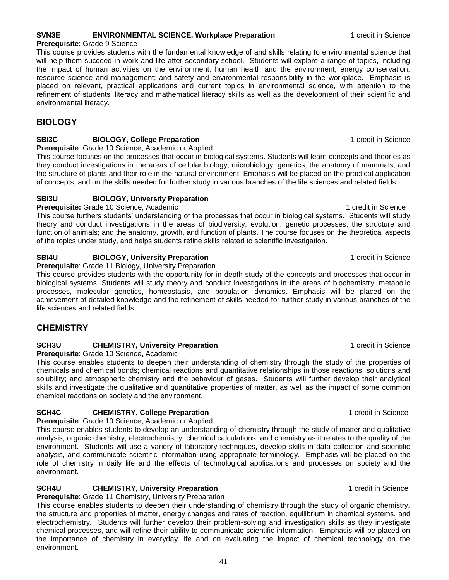### **SVN3E ENVIRONMENTAL SCIENCE, Workplace Preparation** 1 credit in Science

#### **Prerequisite**: Grade 9 Science This course provides students with the fundamental knowledge of and skills relating to environmental science that will help them succeed in work and life after secondary school. Students will explore a range of topics, including the impact of human activities on the environment; human health and the environment; energy conservation; resource science and management; and safety and environmental responsibility in the workplace. Emphasis is placed on relevant, practical applications and current topics in environmental science, with attention to the refinement of students' literacy and mathematical literacy skills as well as the development of their scientific and environmental literacy.

### **BIOLOGY**

### **SBI3C BIOLOGY, College Preparation** 1 credit in Science

### **Prerequisite**: Grade 10 Science, Academic or Applied

This course focuses on the processes that occur in biological systems. Students will learn concepts and theories as they conduct investigations in the areas of cellular biology, microbiology, genetics, the anatomy of mammals, and the structure of plants and their role in the natural environment. Emphasis will be placed on the practical application of concepts, and on the skills needed for further study in various branches of the life sciences and related fields.

### **SBI3U BIOLOGY, University Preparation**

**Prerequisite:** Grade 10 Science, Academic 1 credit in Science 1 credit in Science This course furthers students' understanding of the processes that occur in biological systems. Students will study theory and conduct investigations in the areas of biodiversity; evolution; genetic processes; the structure and function of animals; and the anatomy, growth, and function of plants. The course focuses on the theoretical aspects of the topics under study, and helps students refine skills related to scientific investigation.

### **SBI4U BIOLOGY, University Preparation** 1 credit in Science

### **Prerequisite**: Grade 11 Biology, University Preparation

This course provides students with the opportunity for in-depth study of the concepts and processes that occur in biological systems. Students will study theory and conduct investigations in the areas of biochemistry, metabolic processes, molecular genetics, homeostasis, and population dynamics. Emphasis will be placed on the achievement of detailed knowledge and the refinement of skills needed for further study in various branches of the life sciences and related fields.

### **CHEMISTRY**

### **SCH3U CHEMISTRY, University Preparation** 1 **CHEMISTRY, University Preparation** 1 **CHEMISTRY**, **University Preparation**

**Prerequisite**: Grade 10 Science, Academic

This course enables students to deepen their understanding of chemistry through the study of the properties of chemicals and chemical bonds; chemical reactions and quantitative relationships in those reactions; solutions and solubility; and atmospheric chemistry and the behaviour of gases. Students will further develop their analytical skills and investigate the qualitative and quantitative properties of matter, as well as the impact of some common chemical reactions on society and the environment.

### **SCH4C CHEMISTRY, College Preparation 1 CHEMISTRY, College Preparation** 1 **CHEMISTRY**

**Prerequisite**: Grade 10 Science, Academic or Applied

This course enables students to develop an understanding of chemistry through the study of matter and qualitative analysis, organic chemistry, electrochemistry, chemical calculations, and chemistry as it relates to the quality of the environment. Students will use a variety of laboratory techniques, develop skills in data collection and scientific analysis, and communicate scientific information using appropriate terminology. Emphasis will be placed on the role of chemistry in daily life and the effects of technological applications and processes on society and the environment.

### **SCH4U CHEMISTRY, University Preparation** 1 **CHEMISTRY, University Preparation** 1 **CHEMISTRY**, **University Preparation**

### **Prerequisite:** Grade 11 Chemistry, University Preparation

This course enables students to deepen their understanding of chemistry through the study of organic chemistry, the structure and properties of matter, energy changes and rates of reaction, equilibrium in chemical systems, and electrochemistry. Students will further develop their problem-solving and investigation skills as they investigate chemical processes, and will refine their ability to communicate scientific information. Emphasis will be placed on the importance of chemistry in everyday life and on evaluating the impact of chemical technology on the environment.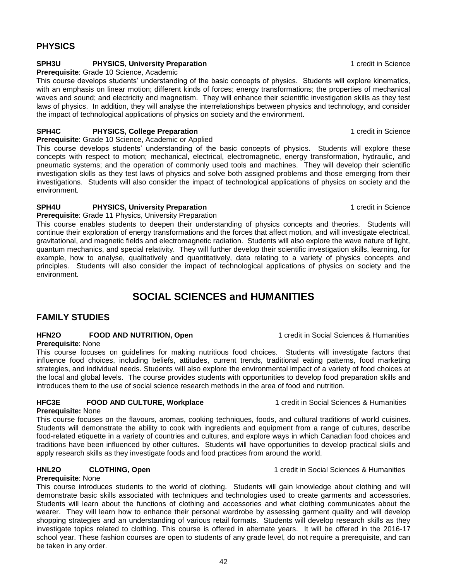### **PHYSICS**

### **SPH3U PHYSICS, University Preparation** 1 **CONSUMING 2006** 1 credit in Science

**Prerequisite**: Grade 10 Science, Academic

This course develops students' understanding of the basic concepts of physics. Students will explore kinematics, with an emphasis on linear motion; different kinds of forces; energy transformations; the properties of mechanical waves and sound; and electricity and magnetism. They will enhance their scientific investigation skills as they test laws of physics. In addition, they will analyse the interrelationships between physics and technology, and consider the impact of technological applications of physics on society and the environment.

### **SPH4C PHYSICS, College Preparation 1 PHYSICS**, **College Preparation 1 PHYSICS**, **College Preparation**

**Prerequisite**: Grade 10 Science, Academic or Applied

This course develops students' understanding of the basic concepts of physics. Students will explore these concepts with respect to motion; mechanical, electrical, electromagnetic, energy transformation, hydraulic, and pneumatic systems; and the operation of commonly used tools and machines. They will develop their scientific investigation skills as they test laws of physics and solve both assigned problems and those emerging from their investigations. Students will also consider the impact of technological applications of physics on society and the environment.

### **SPH4U PHYSICS, University Preparation** 1 **CONSTRANGED 1** credit in Science

### **Prerequisite**: Grade 11 Physics, University Preparation

This course enables students to deepen their understanding of physics concepts and theories. Students will continue their exploration of energy transformations and the forces that affect motion, and will investigate electrical, gravitational, and magnetic fields and electromagnetic radiation. Students will also explore the wave nature of light, quantum mechanics, and special relativity. They will further develop their scientific investigation skills, learning, for example, how to analyse, qualitatively and quantitatively, data relating to a variety of physics concepts and principles. Students will also consider the impact of technological applications of physics on society and the environment.

# **SOCIAL SCIENCES and HUMANITIES**

### **FAMILY STUDIES**

# **HFN2O FOOD AND NUTRITION, Open** 1 credit in Social Sciences & Humanities

**Prerequisite**: None

This course focuses on guidelines for making nutritious food choices. Students will investigate factors that influence food choices, including beliefs, attitudes, current trends, traditional eating patterns, food marketing strategies, and individual needs. Students will also explore the environmental impact of a variety of food choices at the local and global levels. The course provides students with opportunities to develop food preparation skills and introduces them to the use of social science research methods in the area of food and nutrition.

### **HFC3E FOOD AND CULTURE, Workplace** 1 credit in Social Sciences & Humanities

**Prerequisite:** None This course focuses on the flavours, aromas, cooking techniques, foods, and cultural traditions of world cuisines. Students will demonstrate the ability to cook with ingredients and equipment from a range of cultures, describe food-related etiquette in a variety of countries and cultures, and explore ways in which Canadian food choices and traditions have been influenced by other cultures. Students will have opportunities to develop practical skills and apply research skills as they investigate foods and food practices from around the world.

### **HNL2O CLOTHING, Open** 1 credit in Social Sciences & Humanities

**Prerequisite**: None

This course introduces students to the world of clothing. Students will gain knowledge about clothing and will demonstrate basic skills associated with techniques and technologies used to create garments and accessories. Students will learn about the functions of clothing and accessories and what clothing communicates about the wearer. They will learn how to enhance their personal wardrobe by assessing garment quality and will develop shopping strategies and an understanding of various retail formats. Students will develop research skills as they investigate topics related to clothing. This course is offered in alternate years. It will be offered in the 2016-17 school year. These fashion courses are open to students of any grade level, do not require a prerequisite, and can be taken in any order.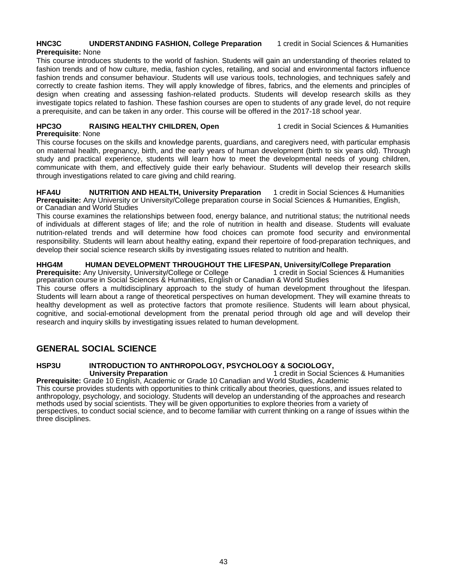### **HNC3C UNDERSTANDING FASHION, College Preparation** 1 credit in Social Sciences & Humanities

### **Prerequisite:** None

This course introduces students to the world of fashion. Students will gain an understanding of theories related to fashion trends and of how culture, media, fashion cycles, retailing, and social and environmental factors influence fashion trends and consumer behaviour. Students will use various tools, technologies, and techniques safely and correctly to create fashion items. They will apply knowledge of fibres, fabrics, and the elements and principles of design when creating and assessing fashion-related products. Students will develop research skills as they investigate topics related to fashion. These fashion courses are open to students of any grade level, do not require a prerequisite, and can be taken in any order. This course will be offered in the 2017-18 school year.

### **HPC3O RAISING HEALTHY CHILDREN, Open** 1 credit in Social Sciences & Humanities

**Prerequisite**: None

This course focuses on the skills and knowledge parents, guardians, and caregivers need, with particular emphasis on maternal health, pregnancy, birth, and the early years of human development (birth to six years old). Through study and practical experience, students will learn how to meet the developmental needs of young children, communicate with them, and effectively guide their early behaviour. Students will develop their research skills through investigations related to care giving and child rearing.

**HFA4U NUTRITION AND HEALTH, University Preparation** 1 credit in Social Sciences & Humanities **Prerequisite:** Any University or University/College preparation course in Social Sciences & Humanities, English, or Canadian and World Studies

This course examines the relationships between food, energy balance, and nutritional status; the nutritional needs of individuals at different stages of life; and the role of nutrition in health and disease. Students will evaluate nutrition-related trends and will determine how food choices can promote food security and environmental responsibility. Students will learn about healthy eating, expand their repertoire of food-preparation techniques, and develop their social science research skills by investigating issues related to nutrition and health.

### **HHG4M HUMAN DEVELOPMENT THROUGHOUT THE LIFESPAN, University/College Preparation**

**Prerequisite:** Any University, University/College or College 1 credit in Social Sciences & Humanities preparation course in Social Sciences & Humanities, English or Canadian & World Studies

This course offers a multidisciplinary approach to the study of human development throughout the lifespan. Students will learn about a range of theoretical perspectives on human development. They will examine threats to healthy development as well as protective factors that promote resilience. Students will learn about physical, cognitive, and social-emotional development from the prenatal period through old age and will develop their research and inquiry skills by investigating issues related to human development.

### **GENERAL SOCIAL SCIENCE**

#### **HSP3U INTRODUCTION TO ANTHROPOLOGY, PSYCHOLOGY & SOCIOLOGY, HSP3U**<br>University Preparation 1 credit in Social S **1 credit in Social Sciences & Humanities**

**Prerequisite:** Grade 10 English, Academic or Grade 10 Canadian and World Studies, Academic This course provides students with opportunities to think critically about theories, questions, and issues related to anthropology, psychology, and sociology. Students will develop an understanding of the approaches and research methods used by social scientists. They will be given opportunities to explore theories from a variety of perspectives, to conduct social science, and to become familiar with current thinking on a range of issues within the three disciplines.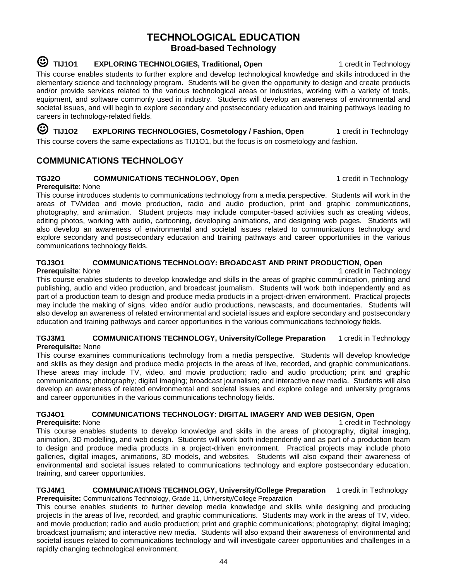### **TECHNOLOGICAL EDUCATION Broad-based Technology**

# <sup>3</sup> TIJ101 EXPLORING TECHNOLOGIES, Traditional, Open 1 credit in Technology

This course enables students to further explore and develop technological knowledge and skills introduced in the elementary science and technology program. Students will be given the opportunity to design and create products and/or provide services related to the various technological areas or industries, working with a variety of tools, equipment, and software commonly used in industry. Students will develop an awareness of environmental and societal issues, and will begin to explore secondary and postsecondary education and training pathways leading to careers in technology-related fields.

☺ **TIJ1O2 EXPLORING TECHNOLOGIES, Cosmetology / Fashion, Open** 1 credit in Technology This course covers the same expectations as TIJ1O1, but the focus is on cosmetology and fashion.

### **COMMUNICATIONS TECHNOLOGY**

### **TGJ2O COMMUNICATIONS TECHNOLOGY, Open** 1 credit in Technology

**Prerequisite**: None This course introduces students to communications technology from a media perspective. Students will work in the areas of TV/video and movie production, radio and audio production, print and graphic communications, photography, and animation. Student projects may include computer-based activities such as creating videos, editing photos, working with audio, cartooning, developing animations, and designing web pages. Students will also develop an awareness of environmental and societal issues related to communications technology and explore secondary and postsecondary education and training pathways and career opportunities in the various communications technology fields.

### **TGJ3O1 COMMUNICATIONS TECHNOLOGY: BROADCAST AND PRINT PRODUCTION, Open**

**Prerequisite**: None 1 credit in Technology and 1 credit in Technology and 1 credit in Technology and 1 credit in Technology and 1 credit in Technology and 1 credit in Technology and 1 credit in Technology and 1 credit in This course enables students to develop knowledge and skills in the areas of graphic communication, printing and publishing, audio and video production, and broadcast journalism. Students will work both independently and as part of a production team to design and produce media products in a project-driven environment. Practical projects may include the making of signs, video and/or audio productions, newscasts, and documentaries. Students will also develop an awareness of related environmental and societal issues and explore secondary and postsecondary education and training pathways and career opportunities in the various communications technology fields.

#### **TGJ3M1 COMMUNICATIONS TECHNOLOGY, University/College Preparation** 1 credit in Technology **Prerequisite:** None

This course examines communications technology from a media perspective. Students will develop knowledge and skills as they design and produce media projects in the areas of live, recorded, and graphic communications. These areas may include TV, video, and movie production; radio and audio production; print and graphic communications; photography; digital imaging; broadcast journalism; and interactive new media. Students will also develop an awareness of related environmental and societal issues and explore college and university programs and career opportunities in the various communications technology fields.

### **TGJ4O1 COMMUNICATIONS TECHNOLOGY: DIGITAL IMAGERY AND WEB DESIGN, Open**

**Prerequisite**: None 1 credit in Technology and 1 credit in Technology and 1 credit in Technology and 1 credit in Technology and 1 credit in Technology and 1 credit in Technology and 1 credit in Technology and 1 credit in This course enables students to develop knowledge and skills in the areas of photography, digital imaging, animation, 3D modelling, and web design. Students will work both independently and as part of a production team to design and produce media products in a project-driven environment. Practical projects may include photo galleries, digital images, animations, 3D models, and websites. Students will also expand their awareness of environmental and societal issues related to communications technology and explore postsecondary education, training, and career opportunities.

**TGJ4M1 COMMUNICATIONS TECHNOLOGY, University/College Preparation** 1 credit in Technology **Prerequisite:** Communications Technology, Grade 11, University/College Preparation

This course enables students to further develop media knowledge and skills while designing and producing projects in the areas of live, recorded, and graphic communications. Students may work in the areas of TV, video, and movie production; radio and audio production; print and graphic communications; photography; digital imaging; broadcast journalism; and interactive new media. Students will also expand their awareness of environmental and societal issues related to communications technology and will investigate career opportunities and challenges in a rapidly changing technological environment.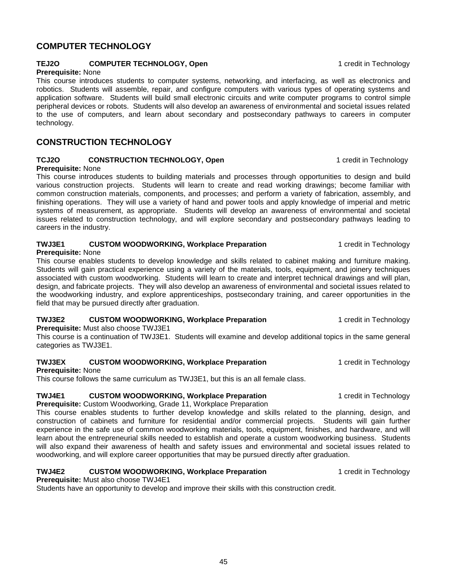### **COMPUTER TECHNOLOGY**

#### **TEJ2O COMPUTER TECHNOLOGY, Open** 1 credit in Technology

#### **Prerequisite:** None

This course introduces students to computer systems, networking, and interfacing, as well as electronics and robotics. Students will assemble, repair, and configure computers with various types of operating systems and application software. Students will build small electronic circuits and write computer programs to control simple peripheral devices or robots. Students will also develop an awareness of environmental and societal issues related to the use of computers, and learn about secondary and postsecondary pathways to careers in computer technology.

### **CONSTRUCTION TECHNOLOGY**

### **TCJ2O CONSTRUCTION TECHNOLOGY, Open** 1 credit in Technology

### **Prerequisite:** None

This course introduces students to building materials and processes through opportunities to design and build various construction projects. Students will learn to create and read working drawings; become familiar with common construction materials, components, and processes; and perform a variety of fabrication, assembly, and finishing operations. They will use a variety of hand and power tools and apply knowledge of imperial and metric systems of measurement, as appropriate. Students will develop an awareness of environmental and societal issues related to construction technology, and will explore secondary and postsecondary pathways leading to careers in the industry.

### **TWJ3E1 CUSTOM WOODWORKING, Workplace Preparation** 1 credit in Technology

#### **Prerequisite:** None

This course enables students to develop knowledge and skills related to cabinet making and furniture making. Students will gain practical experience using a variety of the materials, tools, equipment, and joinery techniques associated with custom woodworking. Students will learn to create and interpret technical drawings and will plan, design, and fabricate projects. They will also develop an awareness of environmental and societal issues related to the woodworking industry, and explore apprenticeships, postsecondary training, and career opportunities in the field that may be pursued directly after graduation.

### **TWJ3E2 CUSTOM WOODWORKING, Workplace Preparation 1** credit in Technology

**Prerequisite:** Must also choose TWJ3E1

This course is a continuation of TWJ3E1. Students will examine and develop additional topics in the same general categories as TWJ3E1.

### **TWJ3EX CUSTOM WOODWORKING, Workplace Preparation** 1 credit in Technology

#### **Prerequisite:** None

This course follows the same curriculum as TWJ3E1, but this is an all female class.

### **TWJ4E1 CUSTOM WOODWORKING, Workplace Preparation** 1 credit in Technology

**Prerequisite:** Custom Woodworking, Grade 11, Workplace Preparation

This course enables students to further develop knowledge and skills related to the planning, design, and construction of cabinets and furniture for residential and/or commercial projects. Students will gain further experience in the safe use of common woodworking materials, tools, equipment, finishes, and hardware, and will learn about the entrepreneurial skills needed to establish and operate a custom woodworking business. Students will also expand their awareness of health and safety issues and environmental and societal issues related to woodworking, and will explore career opportunities that may be pursued directly after graduation.

### **TWJ4E2 CUSTOM WOODWORKING, Workplace Preparation** 1 credit in Technology

**Prerequisite:** Must also choose TWJ4E1 Students have an opportunity to develop and improve their skills with this construction credit.

45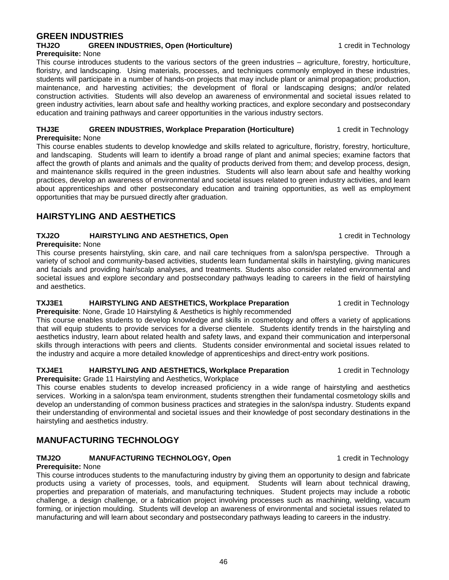### **GREEN INDUSTRIES THJ2O GREEN INDUSTRIES, Open (Horticulture)** 1 credit in Technology

### **Prerequisite:** None

This course introduces students to the various sectors of the green industries – agriculture, forestry, horticulture, floristry, and landscaping. Using materials, processes, and techniques commonly employed in these industries, students will participate in a number of hands-on projects that may include plant or animal propagation; production, maintenance, and harvesting activities; the development of floral or landscaping designs; and/or related construction activities. Students will also develop an awareness of environmental and societal issues related to green industry activities, learn about safe and healthy working practices, and explore secondary and postsecondary education and training pathways and career opportunities in the various industry sectors.

#### **THJ3E GREEN INDUSTRIES, Workplace Preparation (Horticulture)** 1 credit in Technology **Prerequisite:** None

This course enables students to develop knowledge and skills related to agriculture, floristry, forestry, horticulture, and landscaping. Students will learn to identify a broad range of plant and animal species; examine factors that affect the growth of plants and animals and the quality of products derived from them; and develop process, design, and maintenance skills required in the green industries. Students will also learn about safe and healthy working practices, develop an awareness of environmental and societal issues related to green industry activities, and learn about apprenticeships and other postsecondary education and training opportunities, as well as employment opportunities that may be pursued directly after graduation.

### **HAIRSTYLING AND AESTHETICS**

### **TXJ2O HAIRSTYLING AND AESTHETICS, Open** 1 credit in Technology

### **Prerequisite:** None

This course presents hairstyling, skin care, and nail care techniques from a salon/spa perspective. Through a variety of school and community-based activities, students learn fundamental skills in hairstyling, giving manicures and facials and providing hair/scalp analyses, and treatments. Students also consider related environmental and societal issues and explore secondary and postsecondary pathways leading to careers in the field of hairstyling and aesthetics.

### **TXJ3E1** HAIRSTYLING AND AESTHETICS, Workplace Preparation 1 credit in Technology

**Prerequisite**: None, Grade 10 Hairstyling & Aesthetics is highly recommended

This course enables students to develop knowledge and skills in cosmetology and offers a variety of applications that will equip students to provide services for a diverse clientele. Students identify trends in the hairstyling and aesthetics industry, learn about related health and safety laws, and expand their communication and interpersonal skills through interactions with peers and clients. Students consider environmental and societal issues related to the industry and acquire a more detailed knowledge of apprenticeships and direct-entry work positions.

### **TXJ4E1** HAIRSTYLING AND AESTHETICS, Workplace Preparation 1 credit in Technology

**Prerequisite:** Grade 11 Hairstyling and Aesthetics, Workplace

This course enables students to develop increased proficiency in a wide range of hairstyling and aesthetics services. Working in a salon/spa team environment, students strengthen their fundamental cosmetology skills and develop an understanding of common business practices and strategies in the salon/spa industry. Students expand their understanding of environmental and societal issues and their knowledge of post secondary destinations in the hairstyling and aesthetics industry.

# **MANUFACTURING TECHNOLOGY**

### **TMJ2O MANUFACTURING TECHNOLOGY, Open** 1 credit in Technology

### **Prerequisite:** None

This course introduces students to the manufacturing industry by giving them an opportunity to design and fabricate products using a variety of processes, tools, and equipment. Students will learn about technical drawing, properties and preparation of materials, and manufacturing techniques. Student projects may include a robotic challenge, a design challenge, or a fabrication project involving processes such as machining, welding, vacuum forming, or injection moulding. Students will develop an awareness of environmental and societal issues related to manufacturing and will learn about secondary and postsecondary pathways leading to careers in the industry.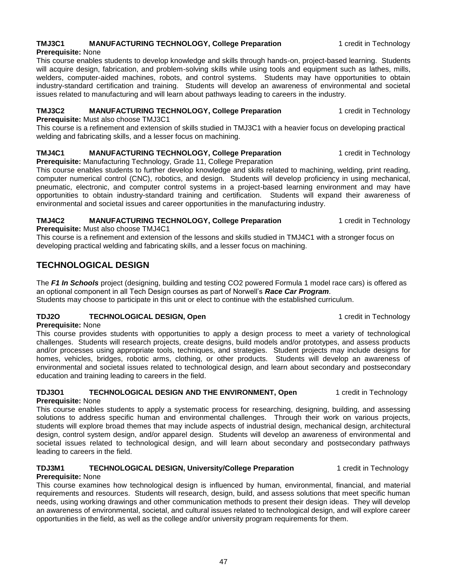### **TMJ3C1 MANUFACTURING TECHNOLOGY, College Preparation** 1 credit in Technology

### **Prerequisite:** None

This course enables students to develop knowledge and skills through hands-on, project-based learning. Students will acquire design, fabrication, and problem-solving skills while using tools and equipment such as lathes, mills, welders, computer-aided machines, robots, and control systems. Students may have opportunities to obtain industry-standard certification and training. Students will develop an awareness of environmental and societal issues related to manufacturing and will learn about pathways leading to careers in the industry.

### **TMJ3C2 MANUFACTURING TECHNOLOGY, College Preparation** 1 credit in Technology

**Prerequisite:** Must also choose TMJ3C1

This course is a refinement and extension of skills studied in TMJ3C1 with a heavier focus on developing practical welding and fabricating skills, and a lesser focus on machining.

### **TMJ4C1 MANUFACTURING TECHNOLOGY, College Preparation** 1 credit in Technology

**Prerequisite:** Manufacturing Technology, Grade 11, College Preparation

This course enables students to further develop knowledge and skills related to machining, welding, print reading, computer numerical control (CNC), robotics, and design. Students will develop proficiency in using mechanical, pneumatic, electronic, and computer control systems in a project-based learning environment and may have opportunities to obtain industry-standard training and certification. Students will expand their awareness of environmental and societal issues and career opportunities in the manufacturing industry.

### **TMJ4C2 MANUFACTURING TECHNOLOGY, College Preparation** 1 credit in Technology

**Prerequisite:** Must also choose TMJ4C1

This course is a refinement and extension of the lessons and skills studied in TMJ4C1 with a stronger focus on developing practical welding and fabricating skills, and a lesser focus on machining.

### **TECHNOLOGICAL DESIGN**

The *F1 In Schools* project (designing, building and testing CO2 powered Formula 1 model race cars) is offered as an optional component in all Tech Design courses as part of Norwell's *Race Car Program*. Students may choose to participate in this unit or elect to continue with the established curriculum.

### **TDJ2O TECHNOLOGICAL DESIGN, Open** 1 credit in Technology

**Prerequisite:** None

This course provides students with opportunities to apply a design process to meet a variety of technological challenges. Students will research projects, create designs, build models and/or prototypes, and assess products and/or processes using appropriate tools, techniques, and strategies. Student projects may include designs for homes, vehicles, bridges, robotic arms, clothing, or other products. Students will develop an awareness of environmental and societal issues related to technological design, and learn about secondary and postsecondary education and training leading to careers in the field.

### **TDJ3O1 TECHNOLOGICAL DESIGN AND THE ENVIRONMENT, Open** 1 credit in Technology

### **Prerequisite:** None

This course enables students to apply a systematic process for researching, designing, building, and assessing solutions to address specific human and environmental challenges. Through their work on various projects, students will explore broad themes that may include aspects of industrial design, mechanical design, architectural design, control system design, and/or apparel design. Students will develop an awareness of environmental and societal issues related to technological design, and will learn about secondary and postsecondary pathways leading to careers in the field.

#### **TDJ3M1 TECHNOLOGICAL DESIGN, University/College Preparation** 1 credit in Technology **Prerequisite:** None

This course examines how technological design is influenced by human, environmental, financial, and material requirements and resources. Students will research, design, build, and assess solutions that meet specific human needs, using working drawings and other communication methods to present their design ideas. They will develop an awareness of environmental, societal, and cultural issues related to technological design, and will explore career opportunities in the field, as well as the college and/or university program requirements for them.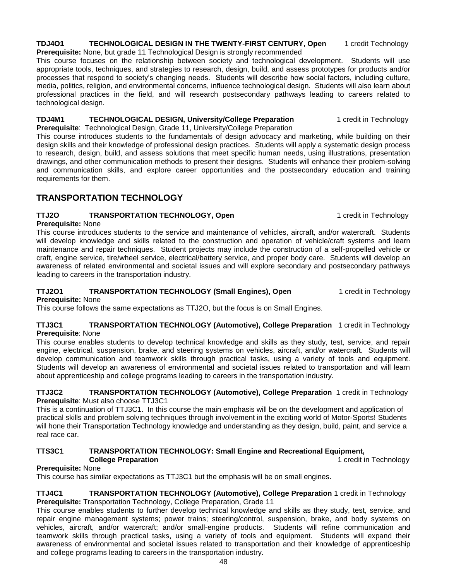### **TDJ4O1 TECHNOLOGICAL DESIGN IN THE TWENTY-FIRST CENTURY, Open** 1 credit Technology

**Prerequisite:** None, but grade 11 Technological Design is strongly recommended

This course focuses on the relationship between society and technological development. Students will use appropriate tools, techniques, and strategies to research, design, build, and assess prototypes for products and/or processes that respond to society's changing needs. Students will describe how social factors, including culture, media, politics, religion, and environmental concerns, influence technological design. Students will also learn about professional practices in the field, and will research postsecondary pathways leading to careers related to technological design.

### **TDJ4M1 TECHNOLOGICAL DESIGN, University/College Preparation** 1 credit in Technology

**Prerequisite**: Technological Design, Grade 11, University/College Preparation

This course introduces students to the fundamentals of design advocacy and marketing, while building on their design skills and their knowledge of professional design practices. Students will apply a systematic design process to research, design, build, and assess solutions that meet specific human needs, using illustrations, presentation drawings, and other communication methods to present their designs. Students will enhance their problem-solving and communication skills, and explore career opportunities and the postsecondary education and training requirements for them.

### **TRANSPORTATION TECHNOLOGY**

### **TTJ2O TRANSPORTATION TECHNOLOGY, Open** 1 credit in Technology

**Prerequisite:** None

This course introduces students to the service and maintenance of vehicles, aircraft, and/or watercraft. Students will develop knowledge and skills related to the construction and operation of vehicle/craft systems and learn maintenance and repair techniques. Student projects may include the construction of a self-propelled vehicle or craft, engine service, tire/wheel service, electrical/battery service, and proper body care. Students will develop an awareness of related environmental and societal issues and will explore secondary and postsecondary pathways leading to careers in the transportation industry.

### **TTJ2O1 TRANSPORTATION TECHNOLOGY (Small Engines), Open** 1 credit in Technology

## **Prerequisite:** None

This course follows the same expectations as TTJ2O, but the focus is on Small Engines.

#### **TTJ3C1 TRANSPORTATION TECHNOLOGY (Automotive), College Preparation** 1 credit in Technology **Prerequisite**: None

This course enables students to develop technical knowledge and skills as they study, test, service, and repair engine, electrical, suspension, brake, and steering systems on vehicles, aircraft, and/or watercraft. Students will develop communication and teamwork skills through practical tasks, using a variety of tools and equipment. Students will develop an awareness of environmental and societal issues related to transportation and will learn about apprenticeship and college programs leading to careers in the transportation industry.

**TTJ3C2 TRANSPORTATION TECHNOLOGY (Automotive), College Preparation** 1 credit in Technology **Prerequisite**: Must also choose TTJ3C1

This is a continuation of TTJ3C1. In this course the main emphasis will be on the development and application of practical skills and problem solving techniques through involvement in the exciting world of Motor-Sports! Students will hone their Transportation Technology knowledge and understanding as they design, build, paint, and service a real race car.

### **TTS3C1 TRANSPORTATION TECHNOLOGY: Small Engine and Recreational Equipment,**

**College Preparation College Preparation 1** credit in Technology

### **Prerequisite:** None

This course has similar expectations as TTJ3C1 but the emphasis will be on small engines.

#### **TTJ4C1 TRANSPORTATION TECHNOLOGY (Automotive), College Preparation** 1 credit in Technology **Prerequisite:** Transportation Technology, College Preparation, Grade 11

This course enables students to further develop technical knowledge and skills as they study, test, service, and repair engine management systems; power trains; steering/control, suspension, brake, and body systems on vehicles, aircraft, and/or watercraft; and/or small-engine products. Students will refine communication and teamwork skills through practical tasks, using a variety of tools and equipment. Students will expand their awareness of environmental and societal issues related to transportation and their knowledge of apprenticeship and college programs leading to careers in the transportation industry.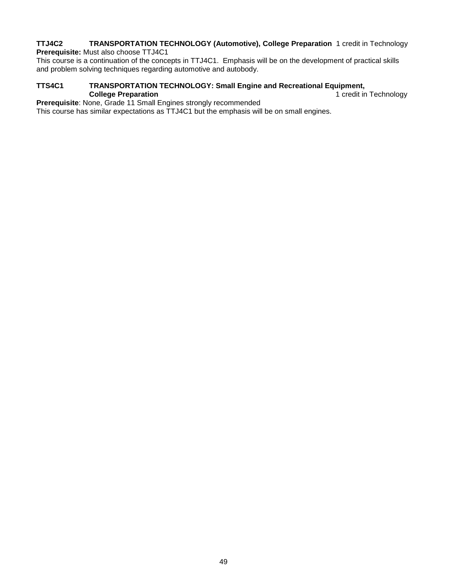#### **TTJ4C2 TRANSPORTATION TECHNOLOGY (Automotive), College Preparation** 1 credit in Technology **Prerequisite:** Must also choose TTJ4C1

This course is a continuation of the concepts in TTJ4C1. Emphasis will be on the development of practical skills and problem solving techniques regarding automotive and autobody.

#### **TTS4C1 TRANSPORTATION TECHNOLOGY: Small Engine and Recreational Equipment,**  1 credit in Technology

**Prerequisite**: None, Grade 11 Small Engines strongly recommended

This course has similar expectations as TTJ4C1 but the emphasis will be on small engines.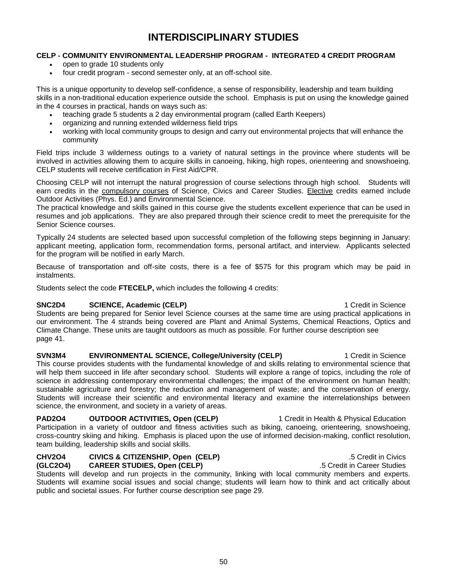# **INTERDISCIPLINARY STUDIES**

#### **CELP - COMMUNITY ENVIRONMENTAL LEADERSHIP PROGRAM - INTEGRATED 4 CREDIT PROGRAM**

- open to grade 10 students only
- four credit program second semester only, at an off-school site.

This is a unique opportunity to develop self-confidence, a sense of responsibility, leadership and team building skills in a non-traditional education experience outside the school. Emphasis is put on using the knowledge gained in the 4 courses in practical, hands on ways such as:

- teaching grade 5 students a 2 day environmental program (called Earth Keepers)
- organizing and running extended wilderness field trips
- working with local community groups to design and carry out environmental projects that will enhance the community

Field trips include 3 wilderness outings to a variety of natural settings in the province where students will be involved in activities allowing them to acquire skills in canoeing, hiking, high ropes, orienteering and snowshoeing. CELP students will receive certification in First Aid/CPR.

Choosing CELP will not interrupt the natural progression of course selections through high school. Students will earn credits in the compulsory courses of Science, Civics and Career Studies. Elective credits earned include Outdoor Activities (Phys. Ed.) and Environmental Science.

The practical knowledge and skills gained in this course give the students excellent experience that can be used in resumes and job applications. They are also prepared through their science credit to meet the prerequisite for the Senior Science courses.

Typically 24 students are selected based upon successful completion of the following steps beginning in January: applicant meeting, application form, recommendation forms, personal artifact, and interview. Applicants selected for the program will be notified in early March.

Because of transportation and off-site costs, there is a fee of \$575 for this program which may be paid in instalments.

Students select the code **FTECELP,** which includes the following 4 credits:

### **SNC2D4 SCIENCE, Academic (CELP) 1** Credit in Science

Students are being prepared for Senior level Science courses at the same time are using practical applications in our environment. The 4 strands being covered are Plant and Animal Systems, Chemical Reactions, Optics and Climate Change. These units are taught outdoors as much as possible. For further course description see page 41.

**SVN3M4 ENVIRONMENTAL SCIENCE, College/University (CELP)** 1 Credit in Science This course provides students with the fundamental knowledge of and skills relating to environmental science that will help them succeed in life after secondary school. Students will explore a range of topics, including the role of science in addressing contemporary environmental challenges; the impact of the environment on human health; sustainable agriculture and forestry; the reduction and management of waste; and the conservation of energy. Students will increase their scientific and environmental literacy and examine the interrelationships between science, the environment, and society in a variety of areas.

**PAD2O4 OUTDOOR ACTIVITIES, Open (CELP)** 1 Credit in Health & Physical Education Participation in a variety of outdoor and fitness activities such as biking, canoeing, orienteering, snowshoeing, cross-country skiing and hiking. Emphasis is placed upon the use of informed decision-making, conflict resolution, team building, leadership skills and social skills.

#### **CHV2O4 CIVICS & CITIZENSHIP, Open (CELP)** .5 Credit in Civics **(GLC2O4) CAREER STUDIES, Open (CELP)** .5 Credit in Career Studies

Students will develop and run projects in the community, linking with local community members and experts. Students will examine social issues and social change; students will learn how to think and act critically about public and societal issues. For further course description see page 29.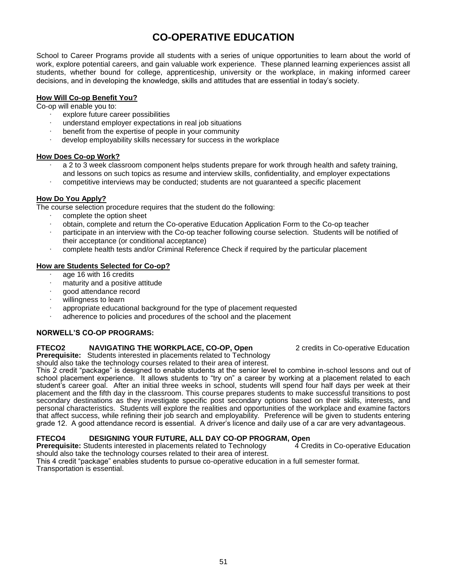# **CO-OPERATIVE EDUCATION**

School to Career Programs provide all students with a series of unique opportunities to learn about the world of work, explore potential careers, and gain valuable work experience. These planned learning experiences assist all students, whether bound for college, apprenticeship, university or the workplace, in making informed career decisions, and in developing the knowledge, skills and attitudes that are essential in today's society.

#### **How Will Co-op Benefit You?**

Co-op will enable you to:

- ∙ explore future career possibilities
- ∙ understand employer expectations in real job situations
- ∙ benefit from the expertise of people in your community
- ∙ develop employability skills necessary for success in the workplace

#### **How Does Co-op Work?**

- ∙ a 2 to 3 week classroom component helps students prepare for work through health and safety training, and lessons on such topics as resume and interview skills, confidentiality, and employer expectations
- ∙ competitive interviews may be conducted; students are not guaranteed a specific placement

#### **How Do You Apply?**

The course selection procedure requires that the student do the following:

- ∙ complete the option sheet
- ∙ obtain, complete and return the Co-operative Education Application Form to the Co-op teacher
- ∙ participate in an interview with the Co-op teacher following course selection. Students will be notified of their acceptance (or conditional acceptance)
- ∙ complete health tests and/or Criminal Reference Check if required by the particular placement

### **How are Students Selected for Co-op?**

- ∙ age 16 with 16 credits
- ∙ maturity and a positive attitude
- ∙ good attendance record
- ∙ willingness to learn
- ∙ appropriate educational background for the type of placement requested
- ∙ adherence to policies and procedures of the school and the placement

### **NORWELL'S CO-OP PROGRAMS:**

#### **FTECO2 NAVIGATING THE WORKPLACE, CO-OP, Open** 2 credits in Co-operative Education

**Prerequisite:** Students interested in placements related to Technology should also take the technology courses related to their area of interest.

This 2 credit "package" is designed to enable students at the senior level to combine in-school lessons and out of school placement experience. It allows students to "try on" a career by working at a placement related to each student's career goal. After an initial three weeks in school, students will spend four half days per week at their placement and the fifth day in the classroom. This course prepares students to make successful transitions to post secondary destinations as they investigate specific post secondary options based on their skills, interests, and personal characteristics. Students will explore the realities and opportunities of the workplace and examine factors that affect success, while refining their job search and employability. Preference will be given to students entering grade 12. A good attendance record is essential. A driver's licence and daily use of a car are very advantageous.

**FTECO4** DESIGNING YOUR FUTURE, ALL DAY CO-OP PROGRAM, Open<br>**Prerequisite:** Students interested in placements related to Technology 4 Credits in Co-operative Education **Prerequisite:** Students interested in placements related to Technology should also take the technology courses related to their area of interest.

This 4 credit "package" enables students to pursue co-operative education in a full semester format. Transportation is essential.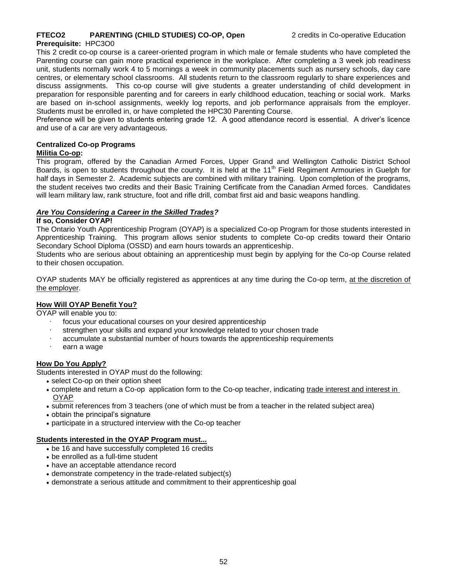### **FTECO2** PARENTING (CHILD STUDIES) CO-OP, Open 2 credits in Co-operative Education

#### **Prerequisite:** HPC3O0

This 2 credit co-op course is a career-oriented program in which male or female students who have completed the Parenting course can gain more practical experience in the workplace. After completing a 3 week job readiness unit, students normally work 4 to 5 mornings a week in community placements such as nursery schools, day care centres, or elementary school classrooms. All students return to the classroom regularly to share experiences and discuss assignments. This co-op course will give students a greater understanding of child development in preparation for responsible parenting and for careers in early childhood education, teaching or social work. Marks are based on in-school assignments, weekly log reports, and job performance appraisals from the employer. Students must be enrolled in, or have completed the HPC30 Parenting Course.

Preference will be given to students entering grade 12. A good attendance record is essential. A driver's licence and use of a car are very advantageous.

#### **Centralized Co-op Programs**

#### **Militia Co-op:**

This program, offered by the Canadian Armed Forces, Upper Grand and Wellington Catholic District School Boards, is open to students throughout the county. It is held at the 11<sup>th</sup> Field Regiment Armouries in Guelph for half days in Semester 2. Academic subjects are combined with military training. Upon completion of the programs, the student receives two credits and their Basic Training Certificate from the Canadian Armed forces. Candidates will learn military law, rank structure, foot and rifle drill, combat first aid and basic weapons handling.

#### *Are You Considering a Career in the Skilled Trades?*

#### **If so, Consider OYAP!**

The Ontario Youth Apprenticeship Program (OYAP) is a specialized Co-op Program for those students interested in Apprenticeship Training. This program allows senior students to complete Co-op credits toward their Ontario Secondary School Diploma (OSSD) and earn hours towards an apprenticeship.

Students who are serious about obtaining an apprenticeship must begin by applying for the Co-op Course related to their chosen occupation.

OYAP students MAY be officially registered as apprentices at any time during the Co-op term, at the discretion of the employer.

#### **How Will OYAP Benefit You?**

OYAP will enable you to:

- ∙ focus your educational courses on your desired apprenticeship
- ∙ strengthen your skills and expand your knowledge related to your chosen trade
- ∙ accumulate a substantial number of hours towards the apprenticeship requirements
- ∙ earn a wage

#### **How Do You Apply?**

Students interested in OYAP must do the following:

- select Co-op on their option sheet
- complete and return a Co-op application form to the Co-op teacher, indicating trade interest and interest in OYAP
- submit references from 3 teachers (one of which must be from a teacher in the related subject area)
- obtain the principal's signature
- participate in a structured interview with the Co-op teacher

#### **Students interested in the OYAP Program must...**

- be 16 and have successfully completed 16 credits
- be enrolled as a full-time student
- have an acceptable attendance record
- demonstrate competency in the trade-related subject(s)
- demonstrate a serious attitude and commitment to their apprenticeship goal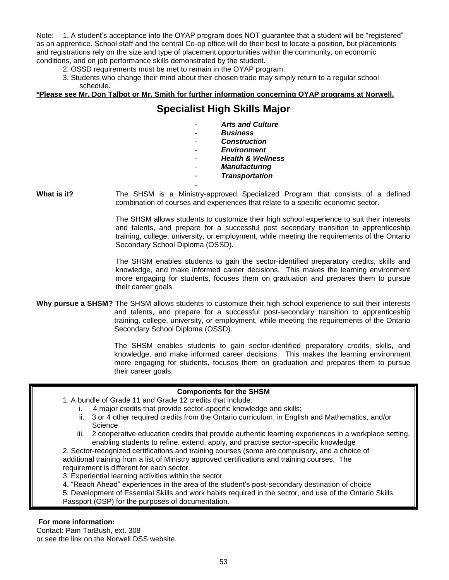Note: 1. A student's acceptance into the OYAP program does NOT guarantee that a student will be "registered" as an apprentice. School staff and the central Co-op office will do their best to locate a position, but placements and registrations rely on the size and type of placement opportunities within the community, on economic conditions, and on job performance skills demonstrated by the student.

2. OSSD requirements must be met to remain in the OYAP program.

3. Students who change their mind about their chosen trade may simply return to a regular school schedule.

### **\*Please see Mr. Don Talbot or Mr. Smith for further information concerning OYAP programs at Norwell.**

## **Specialist High Skills Major**

| <b>Arts and Culture</b>      |
|------------------------------|
| <b>Business</b>              |
| Construction                 |
| <b>Environment</b>           |
| <b>Health &amp; Wellness</b> |
| <b>Manufacturing</b>         |
| <b>Transportation</b>        |
|                              |

**What is it?** The SHSM is a Ministry-approved Specialized Program that consists of a defined combination of courses and experiences that relate to a specific economic sector.

> The SHSM allows students to customize their high school experience to suit their interests and talents, and prepare for a successful post secondary transition to apprenticeship training, college, university, or employment, while meeting the requirements of the Ontario Secondary School Diploma (OSSD).

> The SHSM enables students to gain the sector-identified preparatory credits, skills and knowledge, and make informed career decisions. This makes the learning environment more engaging for students, focuses them on graduation and prepares them to pursue their career goals.

**Why pursue a SHSM?** The SHSM allows students to customize their high school experience to suit their interests and talents, and prepare for a successful post-secondary transition to apprenticeship training, college, university, or employment, while meeting the requirements of the Ontario Secondary School Diploma (OSSD).

> The SHSM enables students to gain sector-identified preparatory credits, skills, and knowledge, and make informed career decisions. This makes the learning environment more engaging for students, focuses them on graduation and prepares them to pursue their career goals.

### **Components for the SHSM**

- 1. A bundle of Grade 11 and Grade 12 credits that include:
	- i. 4 major credits that provide sector-specific knowledge and skills;
	- ii. 3 or 4 other required credits from the Ontario curriculum, in English and Mathematics, and/or **Science**
	- iii. 2 cooperative education credits that provide authentic learning experiences in a workplace setting, enabling students to refine, extend, apply, and practise sector-specific knowledge
- 2. Sector-recognized certifications and training courses (some are compulsory, and a choice of additional training from a list of Ministry approved certifications and training courses. The requirement is different for each sector.
- 3. Experiential learning activities within the sector

4. "Reach Ahead" experiences in the area of the student's post-secondary destination of choice

5. Development of Essential Skills and work habits required in the sector, and use of the Ontario Skills Passport (OSP) for the purposes of documentation.

### **For more information:**

Contact: Pam TarBush, ext. 308 or see the link on the Norwell DSS website.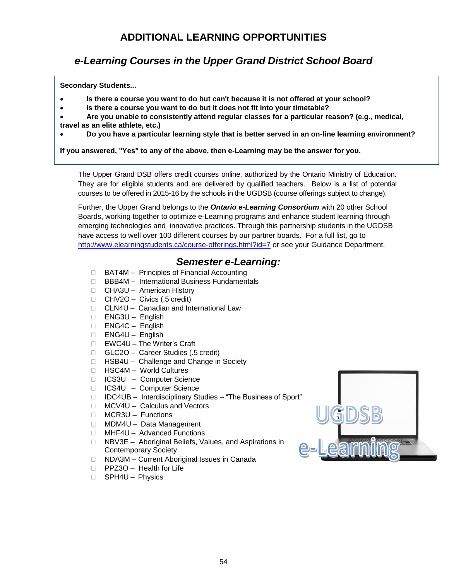# **ADDITIONAL LEARNING OPPORTUNITIES**

# *e-Learning Courses in the Upper Grand District School Board*

**Secondary Students...**

- **Is there a course you want to do but can't because it is not offered at your school?**
- **Is there a course you want to do but it does not fit into your timetable?**
- **Are you unable to consistently attend regular classes for a particular reason? (e.g., medical, travel as an elite athlete, etc.)**
- **Do you have a particular learning style that is better served in an on-line learning environment?**

**If you answered, "Yes" to any of the above, then e-Learning may be the answer for you.**

The Upper Grand DSB offers credit courses online, authorized by the Ontario Ministry of Education. They are for eligible students and are delivered by qualified teachers. Below is a list of potential courses to be offered in 2015-16 by the schools in the UGDSB (course offerings subject to change).

Further, the Upper Grand belongs to the *Ontario e-Learning Consortium* with 20 other School Boards, working together to optimize e-Learning programs and enhance student learning through emerging technologies and innovative practices. Through this partnership students in the UGDSB have access to well over 100 different courses by our partner boards. For a full list, go to <http://www.elearningstudents.ca/course-offerings.html?id=7> or see your Guidance Department.

### *Semester e-Learning:*

- □ BAT4M Principles of Financial Accounting
- □ BBB4M International Business Fundamentals
- □ CHA3U American History
- $\Box$  CHV2O Civics (.5 credit)
- □ CLN4U Canadian and International Law
- ENG3U English
- ENG4C English
- ENG4U English
- □ EWC4U The Writer's Craft
- □ GLC2O Career Studies (.5 credit)
- □ HSB4U Challenge and Change in Society
- HSC4M World Cultures
- □ ICS3U Computer Science
- □ ICS4U Computer Science
- □ IDC4UB Interdisciplinary Studies "The Business of Sport"
- □ MCV4U Calculus and Vectors
- □ MCR3U Functions
- □ MDM4U Data Management
- □ MHF4U Advanced Functions
- □ NBV3E Aboriginal Beliefs, Values, and Aspirations in Contemporary Society
- □ NDA3M Current Aboriginal Issues in Canada
- □ PPZ3O Health for Life
- □ SPH4U Physics

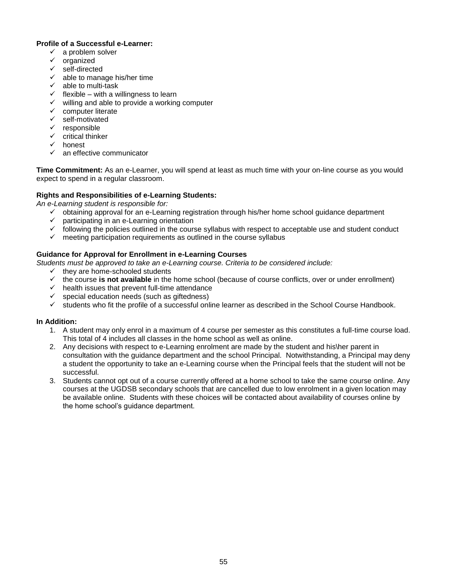#### **Profile of a Successful e-Learner:**

- $\checkmark$  a problem solver
- $\checkmark$  organized
- $\checkmark$  self-directed
- $\checkmark$  able to manage his/her time
- $\checkmark$  able to multi-task
- $\checkmark$  flexible with a willingness to learn
- $\checkmark$  willing and able to provide a working computer
- $\checkmark$  computer literate
- $\checkmark$  self-motivated
- $\checkmark$  responsible
- $\checkmark$  critical thinker
- $\checkmark$  honest
- $\checkmark$  an effective communicator

**Time Commitment:** As an e-Learner, you will spend at least as much time with your on-line course as you would expect to spend in a regular classroom.

### **Rights and Responsibilities of e-Learning Students:**

*An e-Learning student is responsible for:*

- $\checkmark$  obtaining approval for an e-Learning registration through his/her home school guidance department
- $\checkmark$  participating in an e-Learning orientation
- $\checkmark$  following the policies outlined in the course syllabus with respect to acceptable use and student conduct
- $\checkmark$  meeting participation requirements as outlined in the course syllabus

### **Guidance for Approval for Enrollment in e-Learning Courses**

- *Students must be approved to take an e-Learning course. Criteria to be considered include:*
	- $\checkmark$  they are home-schooled students
	- $\checkmark$  the course **is not available** in the home school (because of course conflicts, over or under enrollment)
	- $\checkmark$  health issues that prevent full-time attendance
	- $\checkmark$  special education needs (such as giftedness)
	- $\checkmark$  students who fit the profile of a successful online learner as described in the School Course Handbook.

### **In Addition:**

- 1. A student may only enrol in a maximum of 4 course per semester as this constitutes a full-time course load. This total of 4 includes all classes in the home school as well as online.
- 2. Any decisions with respect to e-Learning enrolment are made by the student and his\her parent in consultation with the guidance department and the school Principal. Notwithstanding, a Principal may deny a student the opportunity to take an e-Learning course when the Principal feels that the student will not be successful.
- 3. Students cannot opt out of a course currently offered at a home school to take the same course online. Any courses at the UGDSB secondary schools that are cancelled due to low enrolment in a given location may be available online. Students with these choices will be contacted about availability of courses online by the home school's guidance department.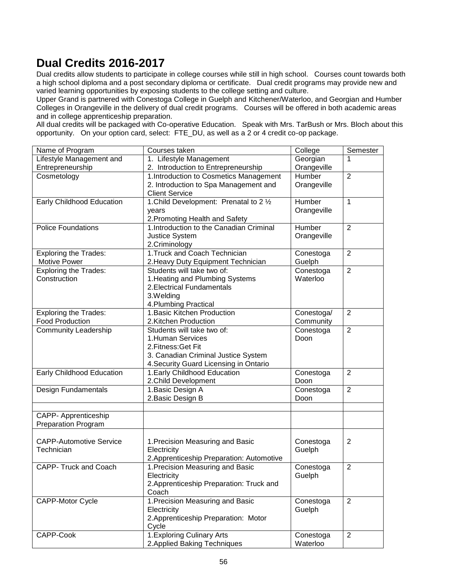# **Dual Credits 2016-2017**

Dual credits allow students to participate in college courses while still in high school. Courses count towards both a high school diploma and a post secondary diploma or certificate. Dual credit programs may provide new and varied learning opportunities by exposing students to the college setting and culture.

Upper Grand is partnered with Conestoga College in Guelph and Kitchener/Waterloo, and Georgian and Humber Colleges in Orangeville in the delivery of dual credit programs. Courses will be offered in both academic areas and in college apprenticeship preparation.

All dual credits will be packaged with Co-operative Education. Speak with Mrs. TarBush or Mrs. Bloch about this opportunity. On your option card, select: FTE\_DU, as well as a 2 or 4 credit co-op package.

| Name of Program                  | Courses taken                             | College     | Semester       |
|----------------------------------|-------------------------------------------|-------------|----------------|
| Lifestyle Management and         | 1. Lifestyle Management                   | Georgian    |                |
| Entrepreneurship                 | 2. Introduction to Entrepreneurship       | Orangeville |                |
| Cosmetology                      | 1.Introduction to Cosmetics Management    | Humber      | $\overline{2}$ |
|                                  | 2. Introduction to Spa Management and     | Orangeville |                |
|                                  | <b>Client Service</b>                     |             |                |
| <b>Early Childhood Education</b> | 1. Child Development: Prenatal to 2 1/2   | Humber      | $\mathbf{1}$   |
|                                  | years                                     | Orangeville |                |
|                                  | 2. Promoting Health and Safety            |             |                |
| <b>Police Foundations</b>        | 1. Introduction to the Canadian Criminal  | Humber      | 2              |
|                                  | <b>Justice System</b>                     | Orangeville |                |
|                                  | 2.Criminology                             |             |                |
| <b>Exploring the Trades:</b>     | 1. Truck and Coach Technician             | Conestoga   | $\overline{2}$ |
| <b>Motive Power</b>              | 2. Heavy Duty Equipment Technician        | Guelph      |                |
| <b>Exploring the Trades:</b>     | Students will take two of:                | Conestoga   | $\overline{2}$ |
| Construction                     | 1. Heating and Plumbing Systems           | Waterloo    |                |
|                                  | 2. Electrical Fundamentals                |             |                |
|                                  | 3.Welding                                 |             |                |
|                                  | 4. Plumbing Practical                     |             |                |
| <b>Exploring the Trades:</b>     | 1. Basic Kitchen Production               | Conestoga/  | $\overline{2}$ |
| <b>Food Production</b>           | 2.Kitchen Production                      | Community   |                |
| <b>Community Leadership</b>      | Students will take two of:                | Conestoga   | $\overline{2}$ |
|                                  | 1.Human Services                          | Doon        |                |
|                                  | 2. Fitness: Get Fit                       |             |                |
|                                  | 3. Canadian Criminal Justice System       |             |                |
|                                  | 4. Security Guard Licensing in Ontario    |             |                |
| Early Childhood Education        | 1. Early Childhood Education              | Conestoga   | $\overline{2}$ |
|                                  | 2. Child Development                      | Doon        |                |
| Design Fundamentals              | 1. Basic Design A                         | Conestoga   | $\overline{2}$ |
|                                  | 2. Basic Design B                         | Doon        |                |
|                                  |                                           |             |                |
| <b>CAPP- Apprenticeship</b>      |                                           |             |                |
| <b>Preparation Program</b>       |                                           |             |                |
|                                  |                                           |             |                |
| <b>CAPP-Automotive Service</b>   | 1. Precision Measuring and Basic          | Conestoga   | 2              |
| Technician                       | Electricity                               | Guelph      |                |
|                                  | 2. Apprenticeship Preparation: Automotive |             |                |
| CAPP- Truck and Coach            | 1. Precision Measuring and Basic          | Conestoga   | $\overline{2}$ |
|                                  | Electricity                               | Guelph      |                |
|                                  | 2. Apprenticeship Preparation: Truck and  |             |                |
|                                  | Coach                                     |             |                |
| <b>CAPP-Motor Cycle</b>          | 1. Precision Measuring and Basic          | Conestoga   | 2              |
|                                  | Electricity                               | Guelph      |                |
|                                  | 2. Apprenticeship Preparation: Motor      |             |                |
|                                  | Cycle                                     |             |                |
| CAPP-Cook                        | 1. Exploring Culinary Arts                | Conestoga   | $\overline{2}$ |
|                                  | 2. Applied Baking Techniques              | Waterloo    |                |